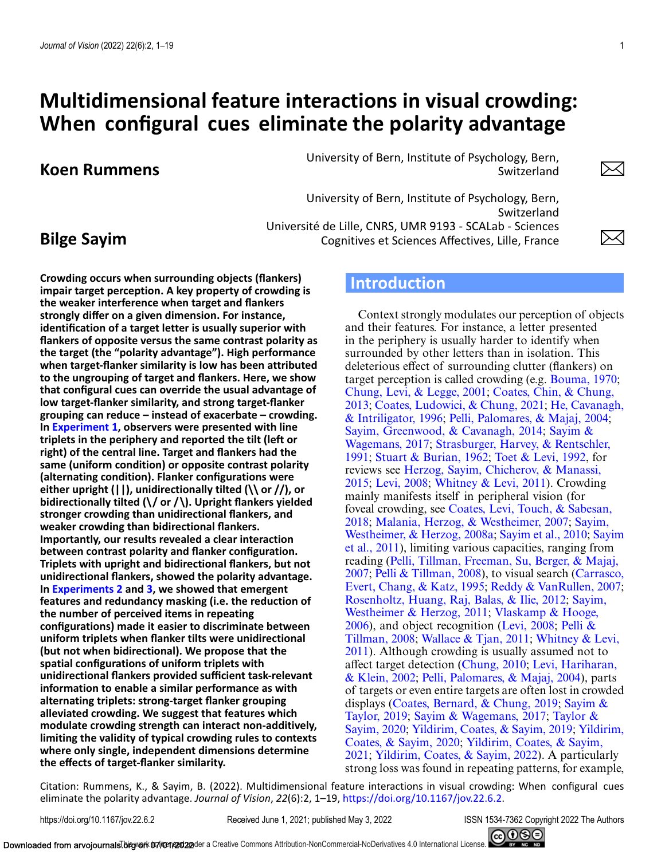# **Multidimensional feature interactions in visual crowding: When configural cues eliminate the polarity advantage**

# **Koen Rummens**

University of Bern, Institute of Psychology, Bern, Switzerland

University of Bern, Institute of Psychology, Bern, Switzerland Université de Lille, CNRS, UMR 9193 - SCALab - Sciences Cognitives et Sciences Affectives, Lille, France

# **Bilge Sayim**

**Crowding occurs when surrounding objects (flankers) impair target perception. A key property of crowding is the weaker interference when target and flankers strongly differ on a given dimension. For instance, identification of a target letter is usually superior with flankers of opposite versus the same contrast polarity as the target (the "polarity advantage"). High performance when target-flanker similarity is low has been attributed to the ungrouping of target and flankers. Here, we show that configural cues can override the usual advantage of low target-flanker similarity, and strong target-flanker grouping can reduce – instead of exacerbate – crowding. In [Experiment 1,](#page-3-0) observers were presented with line triplets in the periphery and reported the tilt (left or right) of the central line. Target and flankers had the same (uniform condition) or opposite contrast polarity (alternating condition). Flanker configurations were either upright (||), unidirectionally tilted (\\ or //), or bidirectionally tilted (\/ or /\). Upright flankers yielded stronger crowding than unidirectional flankers, and weaker crowding than bidirectional flankers. Importantly, our results revealed a clear interaction between contrast polarity and flanker configuration. Triplets with upright and bidirectional flankers, but not unidirectional flankers, showed the polarity advantage. In [Experiments 2](#page-6-0) and [3,](#page-8-0) we showed that emergent features and redundancy masking (i.e. the reduction of the number of perceived items in repeating configurations) made it easier to discriminate between uniform triplets when flanker tilts were unidirectional (but not when bidirectional). We propose that the spatial configurations of uniform triplets with unidirectional flankers provided sufficient task-relevant information to enable a similar performance as with alternating triplets: strong-target flanker grouping alleviated crowding. We suggest that features which modulate crowding strength can interact non-additively, limiting the validity of typical crowding rules to contexts where only single, independent dimensions determine the effects of target-flanker similarity.**

# **Introduction**

Context strongly modulates our perception of objects and their features. For instance, a letter presented in the periphery is usually harder to identify when surrounded by other letters than in isolation. This deleterious effect of surrounding clutter (flankers) on target perception is called crowding (e.g. [Bouma, 1970;](#page-15-0) [Chung, Levi, & Legge, 2001;](#page-15-0) Coates, Chin, & Chung, 2013; [Coates, Ludowici, & Chung, 2021;](#page-15-0) He, Cavanagh, & Intriligator, 1996; [Pelli, Palomares, & Majaj, 2004;](#page-16-0) [Sayim, Greenwood, & Cavanagh, 2014;](#page-17-0) Sayim & Wagemans, 2017; [Strasburger, Harvey, & Rentschler,](#page-17-0) 1991; [Stuart & Burian, 1962;](#page-17-0) [Toet & Levi, 1992,](#page-17-0) for reviews see [Herzog, Sayim, Chicherov, & Manassi,](#page-16-0) 2015; [Levi, 2008;](#page-16-0) [Whitney & Levi, 2011\)](#page-17-0). Crowding mainly manifests itself in peripheral vision (for foveal crowding, see Coates, Levi, Touch, & Sabesan, 2018; [Malania, Herzog, & Westheimer, 2007;](#page-15-0) Sayim, Westheimer, & Herzog, 2008a; [Sayim et al., 2010;](#page-17-0) Sayim [et al., 2011\), limiting various capacities, ranging from](#page-17-0) [reading \(Pelli, Tillman, Freeman, Su, Berger, & Majaj,](#page-16-0) 2007; [Pelli & Tillman, 2008](#page-16-0)[\), to visual search \(Carrasco,](#page-15-0) Evert, Chang, & Katz, 1995; [Reddy & VanRullen, 2007;](#page-17-0) [Rosenholtz, Huang, Raj, Balas, & Ilie, 2012;](#page-17-0) Sayim, Westheimer & Herzog, 2011; Vlaskamp & Hooge,  $2006$ ), and object recognition (Levi, 2008; Pelli & Tillman, 2008; [Wallace & Tjan, 2011;](#page-17-0) Whitney & Levi, [2011\). Although crowding is usually assumed not to](#page-17-0) affect target detection [\(Chung, 2010;](#page-15-0) Levi, Hariharan, & Klein, 2002; [Pelli, Palomares, & Majaj, 2004\), parts](#page-16-0) of targets or even entire targets are often lost in crowded [displays \(](#page-17-0)[Coates, Bernard, & Chung, 2019](#page-15-0)[;](#page-17-0) Sayim & Taylor, 2019; [Sayim & Wagemans, 2017;](#page-17-0) Taylor & Sayim, 2020; [Yildirim, Coates, & Sayim, 2019;](#page-17-0) Yildirim, Coates, & Sayim, 2020; Yildirim, Coates, & Sayim, 2021; [Yildirim, Coates, & Sayim, 2022\). A particula](#page-18-0)rly strong loss was found in repeating patterns, for example,

Citation: Rummens, K., & Sayim, B. (2022). Multidimensional feature interactions in visual crowding: When configural cues eliminate the polarity advantage. *Journal of Vision*, *22*(6):2, 1–19, [https://doi.org/10.1167/jov.22.6.2.](https://doi.org/10.1167/jov.22.6.2)

https://doi.org/10.1167/jov.22.6.2 Received June 1, 2021; published May 3, 2022 ISSN 1534-7362 Copyright 2022 The Authors

 $\Join$ 

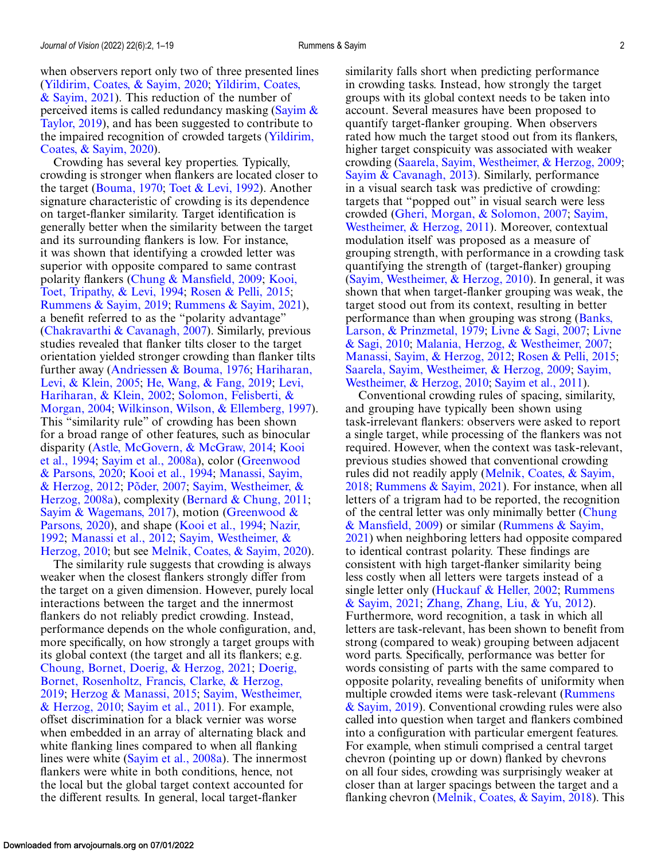Crowding has several key properties. Typically, crowding is stronger when flankers are located closer to the target [\(Bouma, 1970;](#page-15-0) [Toet & Levi, 1992\)](#page-17-0). Another signature characteristic of crowding is its dependence on target-flanker similarity. Target identification is generally better when the similarity between the target and its surrounding flankers is low. For instance, it was shown that identifying a crowded letter was superior with opposite compared to same contrast [polarity flankers \(](#page-16-0)[Chung & Mansfield, 2009](#page-15-0)[;](#page-16-0) Kooi, Toet, Tripathy, & Levi, 1994; [Rosen & Pelli, 2015;](#page-17-0) [Rummens & Sayim, 2019;](#page-17-0) [Rummens & Sayim, 2021\)](#page-17-0), a benefit referred to as the "polarity advantage" [\(Chakravarthi & Cavanagh, 2007\)](#page-15-0). Similarly, previous studies revealed that flanker tilts closer to the target orientation yielded stronger crowding than flanker tilts [further away \(](#page-16-0)[Andriessen & Bouma, 1976](#page-15-0)[;](#page-16-0) Hariharan, Levi, & Klein, 2005; [He, Wang, & Fang, 2019;](#page-16-0) Levi, [Hariharan, & Klein, 2002;](#page-16-0) Solomon, Felisberti, & Morgan, 2004; [Wilkinson, Wilson, & Ellemberg, 1997\)](#page-17-0). This "similarity rule" of crowding has been shown for a broad range of other features, such as binocular [disparity \(](#page-16-0)[Astle, McGovern, & McGraw, 2014](#page-15-0)[;](#page-16-0) Kooi et al., 1994; [Sayim et al., 2008a](#page-17-0)[\), color \(Greenwood](#page-15-0) & Parsons, 2020; [Kooi et al., 1994;](#page-16-0) Manassi, Sayim, & Herzog, 2012; [Põder, 2007;](#page-16-0) [Sayim, Westheimer, &](#page-16-0) [Herzog, 2008a\), complexity \(Bernard & Chung, 201](#page-17-0)[1;](#page-15-0) [Sayim & Wagemans, 2017](#page-17-0)[\), motion \(Greenwood &](#page-15-0) [Parsons, 2020\), and shape \(Kooi et al., 1994;](#page-16-0) Nazir, 1992; [Manassi et al., 2012;](#page-16-0) Sayim, Westheimer, & Herzog, 2010; but see [Melnik, Coates, & Sayim, 2](#page-17-0)[020\)](#page-16-0).

The similarity rule suggests that crowding is always weaker when the closest flankers strongly differ from the target on a given dimension. However, purely local interactions between the target and the innermost flankers do not reliably predict crowding. Instead, performance depends on the whole configuration, and, more specifically, on how strongly a target groups with its global context (the target and all its flankers; e.g. [Choung, Bornet, Doerig, & Herzog, 2021;](#page-15-0) Doerig, [Bornet, Rosenholtz, Francis, Clarke, & Herzog,](#page-15-0) 2019; [Herzog & Manassi, 2015;](#page-16-0) Sayim, Westheimer, & Herzog, 2010; [Sayim et al., 2011\). For example,](#page-17-0) offset discrimination for a black vernier was worse when embedded in an array of alternating black and white flanking lines compared to when all flanking lines were white [\(Sayim et al., 2008a\)](#page-17-0). The innermost flankers were white in both conditions, hence, not the local but the global target context accounted for the different results. In general, local target-flanker

similarity falls short when predicting performance in crowding tasks. Instead, how strongly the target groups with its global context needs to be taken into account. Several measures have been proposed to quantify target-flanker grouping. When observers rated how much the target stood out from its flankers, higher target conspicuity was associated with weaker crowding [\(Saarela, Sayim, Westheimer, & Herzog, 2009;](#page-17-0) [Sayim & Cavanagh, 2013\)](#page-17-0). Similarly, performance in a visual search task was predictive of crowding: targets that "popped out" in visual search were less crowded [\(Gheri, Morgan, & Solomon, 2007;](#page-15-0) Sayim, [Westheimer, & Herzog, 2011\). Moreover, contextual](#page-17-0) modulation itself was proposed as a measure of grouping strength, with performance in a crowding task quantifying the strength of (target-flanker) grouping [\(Sayim, Westheimer, & Herzog, 2010\)](#page-17-0). In general, it was shown that when target-flanker grouping was weak, the target stood out from its context, resulting in better [performance than when grouping was strong \(Banks,](#page-15-0) Larson, & Prinzmetal, 1979; [Livne & Sagi, 2007;](#page-16-0) Livne & Sagi, 2010; [Malania, Herzog, & Westheimer, 2007;](#page-16-0) [Manassi, Sayim, & Herzog, 2012;](#page-16-0) [Rosen & Pelli, 2015;](#page-17-0) [Saarela, Sayim, Westheimer, & Herzog, 2009;](#page-17-0) Sayim, Westheimer, & Herzog, 2010; [Sayim et al., 2011\)](#page-17-0).

Conventional crowding rules of spacing, similarity, and grouping have typically been shown using task-irrelevant flankers: observers were asked to report a single target, while processing of the flankers was not required. However, when the context was task-relevant, previous studies showed that conventional crowding [rules did not readily apply \(Melnik, Coates, & Sayim,](#page-16-0) 2018; [Rummens & Sayim, 2021\)](#page-17-0). For instance, when all letters of a trigram had to be reported, the recognition [of the central letter was only minimally better \(Chung](#page-15-0) & Mansfield, 2009) or similar (Rummens & Sayim, [2021\) when neighboring letters had opposite compa](#page-17-0)red to identical contrast polarity. These findings are consistent with high target-flanker similarity being less costly when all letters were targets instead of a [single letter only \(](#page-17-0)[Huckauf & Heller, 2002](#page-16-0)[;](#page-17-0) Rummens & Sayim, 2021; [Zhang, Zhang, Liu, & Yu, 2012\)](#page-18-0). Furthermore, word recognition, a task in which all letters are task-relevant, has been shown to benefit from strong (compared to weak) grouping between adjacent word parts. Specifically, performance was better for words consisting of parts with the same compared to opposite polarity, revealing benefits of uniformity when multiple crowded items were task-relevant (Rummens [& Sayim, 2019\). Conventional crowding rules were also](#page-17-0) called into question when target and flankers combined into a configuration with particular emergent features. For example, when stimuli comprised a central target chevron (pointing up or down) flanked by chevrons on all four sides, crowding was surprisingly weaker at closer than at larger spacings between the target and a flanking chevron [\(Melnik, Coates, & Sayim, 2018\)](#page-16-0). This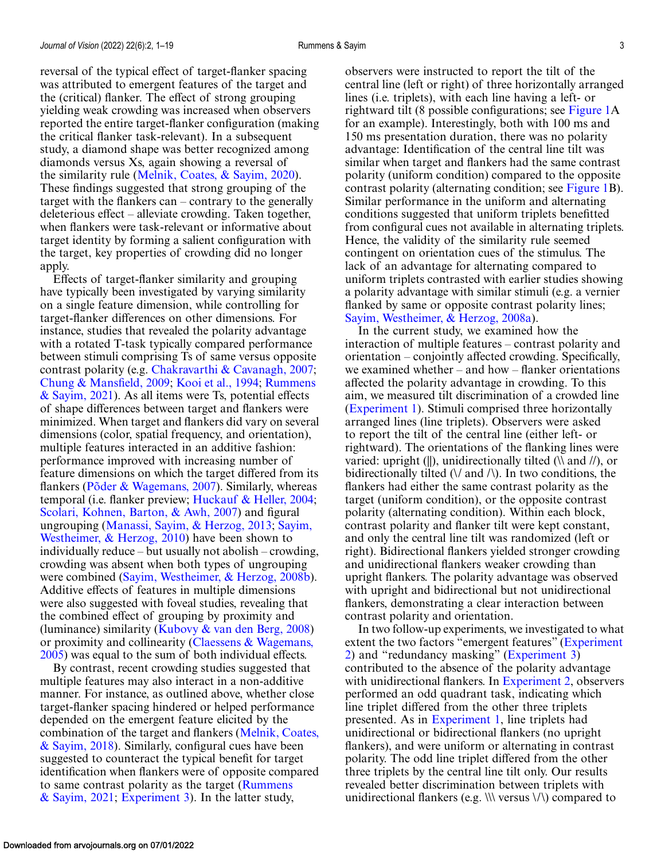reversal of the typical effect of target-flanker spacing was attributed to emergent features of the target and the (critical) flanker. The effect of strong grouping yielding weak crowding was increased when observers reported the entire target-flanker configuration (making the critical flanker task-relevant). In a subsequent study, a diamond shape was better recognized among diamonds versus Xs, again showing a reversal of the similarity rule [\(Melnik, Coates, & Sayim, 2020\)](#page-16-0). These findings suggested that strong grouping of the target with the flankers can – contrary to the generally deleterious effect – alleviate crowding. Taken together, when flankers were task-relevant or informative about target identity by forming a salient configuration with the target, key properties of crowding did no longer apply.

Effects of target-flanker similarity and grouping have typically been investigated by varying similarity on a single feature dimension, while controlling for target-flanker differences on other dimensions. For instance, studies that revealed the polarity advantage with a rotated T-task typically compared performance between stimuli comprising Ts of same versus opposite contrast polarity (e.g. [Chakravarthi & Cavanagh, 2007;](#page-15-0) [Chung & Mansfield, 2009;](#page-15-0) [Kooi et al., 1994;](#page-16-0) Rummens [& Sayim, 2021\). As all items were Ts, potential effects](#page-17-0) of shape differences between target and flankers were minimized. When target and flankers did vary on several dimensions (color, spatial frequency, and orientation), multiple features interacted in an additive fashion: performance improved with increasing number of feature dimensions on which the target differed from its flankers [\(Põder & Wagemans, 2007\)](#page-16-0). Similarly, whereas temporal (i.e. flanker preview; [Huckauf & Heller, 2004;](#page-16-0) [Scolari, Kohnen, Barton, & Awh, 2007\)](#page-17-0) and figural ungrouping [\(Manassi, Sayim, & Herzog, 2013;](#page-16-0) Sayim, [Westheimer, & Herzog, 2010\) have been shown to](#page-17-0) individually reduce – but usually not abolish – crowding, crowding was absent when both types of ungrouping were combined [\(Sayim, Westheimer, & Herzog, 2008b\)](#page-17-0). Additive effects of features in multiple dimensions were also suggested with foveal studies, revealing that the combined effect of grouping by proximity and (luminance) similarity (Kubovy  $\&$  van den Berg, 2008) [or proximity and collinearity \(Claessens & Wagemans,](#page-15-0) 2005) was equal to the sum of both individual effects.

By contrast, recent crowding studies suggested that multiple features may also interact in a non-additive manner. For instance, as outlined above, whether close target-flanker spacing hindered or helped performance depended on the emergent feature elicited by the [combination of the target and flankers \(Melnik, Coates,](#page-16-0) & Sayim, 2018). Similarly, configural cues have been suggested to counteract the typical benefit for target identification when flankers were of opposite compared [to same contrast polarity as the target \(Rummens](#page-17-0) & Sayim, 2021; [Experiment 3\)](#page-8-0). In the latter study,

observers were instructed to report the tilt of the central line (left or right) of three horizontally arranged lines (i.e. triplets), with each line having a left- or rightward tilt (8 possible configurations; see [Figure 1A](#page-3-0) for an example). Interestingly, both with 100 ms and 150 ms presentation duration, there was no polarity advantage: Identification of the central line tilt was similar when target and flankers had the same contrast polarity (uniform condition) compared to the opposite contrast polarity (alternating condition; see [Figure 1B](#page-3-0)). Similar performance in the uniform and alternating conditions suggested that uniform triplets benefitted from configural cues not available in alternating triplets. Hence, the validity of the similarity rule seemed contingent on orientation cues of the stimulus. The lack of an advantage for alternating compared to uniform triplets contrasted with earlier studies showing a polarity advantage with similar stimuli (e.g. a vernier flanked by same or opposite contrast polarity lines; [Sayim, Westheimer, & Herzog, 2008a\)](#page-17-0).

In the current study, we examined how the interaction of multiple features – contrast polarity and orientation – conjointly affected crowding. Specifically, we examined whether – and how – flanker orientations affected the polarity advantage in crowding. To this aim, we measured tilt discrimination of a crowded line [\(Experiment 1\)](#page-3-0). Stimuli comprised three horizontally arranged lines (line triplets). Observers were asked to report the tilt of the central line (either left- or rightward). The orientations of the flanking lines were varied: upright (||), unidirectionally tilted ( $\lambda$  and  $\ell$ ), or bidirectionally tilted  $(\sqrt{a} \text{ and } \sqrt{b})$ . In two conditions, the flankers had either the same contrast polarity as the target (uniform condition), or the opposite contrast polarity (alternating condition). Within each block, contrast polarity and flanker tilt were kept constant, and only the central line tilt was randomized (left or right). Bidirectional flankers yielded stronger crowding and unidirectional flankers weaker crowding than upright flankers. The polarity advantage was observed with upright and bidirectional but not unidirectional flankers, demonstrating a clear interaction between contrast polarity and orientation.

In two follow-up experiments, we investigated to what [extent the two factors "emergent features" \(Experiment](#page-6-0) 2) and "redundancy masking" [\(Experiment 3\)](#page-8-0) contributed to the absence of the polarity advantage with unidirectional flankers. In [Experiment 2,](#page-6-0) observers performed an odd quadrant task, indicating which line triplet differed from the other three triplets presented. As in [Experiment 1,](#page-3-0) line triplets had unidirectional or bidirectional flankers (no upright flankers), and were uniform or alternating in contrast polarity. The odd line triplet differed from the other three triplets by the central line tilt only. Our results revealed better discrimination between triplets with unidirectional flankers (e.g.  $\|\cdot\|$  versus  $\langle\cdot\rangle$ ) compared to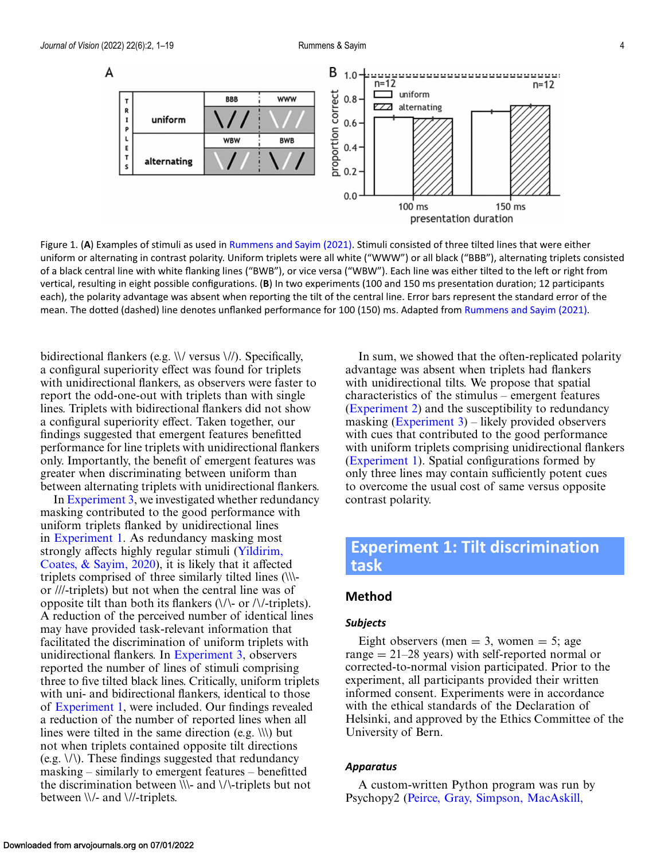<span id="page-3-0"></span>

Figure 1. (**A**) Examples of stimuli as used in [Rummens and Sayim \(2021\).](#page-17-0) Stimuli consisted of three tilted lines that were either uniform or alternating in contrast polarity. Uniform triplets were all white ("WWW") or all black ("BBB"), alternating triplets consisted of a black central line with white flanking lines ("BWB"), or vice versa ("WBW"). Each line was either tilted to the left or right from vertical, resulting in eight possible configurations. (**B**) In two experiments (100 and 150 ms presentation duration; 12 participants each), the polarity advantage was absent when reporting the tilt of the central line. Error bars represent the standard error of the mean. The dotted (dashed) line denotes unflanked performance for 100 (150) ms. Adapted from [Rummens and Sayim \(2021\).](#page-17-0)

bidirectional flankers (e.g. \\/ versus \//). Specifically, a configural superiority effect was found for triplets with unidirectional flankers, as observers were faster to report the odd-one-out with triplets than with single lines. Triplets with bidirectional flankers did not show a configural superiority effect. Taken together, our findings suggested that emergent features benefitted performance for line triplets with unidirectional flankers only. Importantly, the benefit of emergent features was greater when discriminating between uniform than between alternating triplets with unidirectional flankers.

In [Experiment 3,](#page-8-0) we investigated whether redundancy masking contributed to the good performance with uniform triplets flanked by unidirectional lines in Experiment 1. As redundancy masking most strongly affects highly regular stimuli (Yildirim, [Coates, & Sayim, 2020\), it is likely that it affecte](#page-18-0)d triplets comprised of three similarly tilted lines (\\\ or ///-triplets) but not when the central line was of opposite tilt than both its flankers  $(\sqrt{\ }$  or  $/\sqrt{\ }$ -triplets). A reduction of the perceived number of identical lines may have provided task-relevant information that facilitated the discrimination of uniform triplets with unidirectional flankers. In [Experiment 3,](#page-8-0) observers reported the number of lines of stimuli comprising three to five tilted black lines. Critically, uniform triplets with uni- and bidirectional flankers, identical to those of Experiment 1, were included. Our findings revealed a reduction of the number of reported lines when all lines were tilted in the same direction (e.g.  $\langle \langle \rangle \rangle$ ) but not when triplets contained opposite tilt directions (e.g. \/\). These findings suggested that redundancy masking – similarly to emergent features – benefitted the discrimination between \\\- and \/\-triplets but not between \\/- and \//-triplets.

In sum, we showed that the often-replicated polarity advantage was absent when triplets had flankers with unidirectional tilts. We propose that spatial characteristics of the stimulus – emergent features [\(Experiment 2\)](#page-6-0) and the susceptibility to redundancy masking  $(Experiment 3)$  – likely provided observers with cues that contributed to the good performance with uniform triplets comprising unidirectional flankers (Experiment 1). Spatial configurations formed by only three lines may contain sufficiently potent cues to overcome the usual cost of same versus opposite contrast polarity.

# **Experiment 1: Tilt discrimination task**

### **Method**

#### *Subjects*

Eight observers (men  $=$  3, women  $=$  5; age range  $= 21-28$  years) with self-reported normal or corrected-to-normal vision participated. Prior to the experiment, all participants provided their written informed consent. Experiments were in accordance with the ethical standards of the Declaration of Helsinki, and approved by the Ethics Committee of the University of Bern.

#### *Apparatus*

A custom-written Python program was run by Psychopy2 [\(Peirce, Gray, Simpson, MacAskill,](#page-16-0)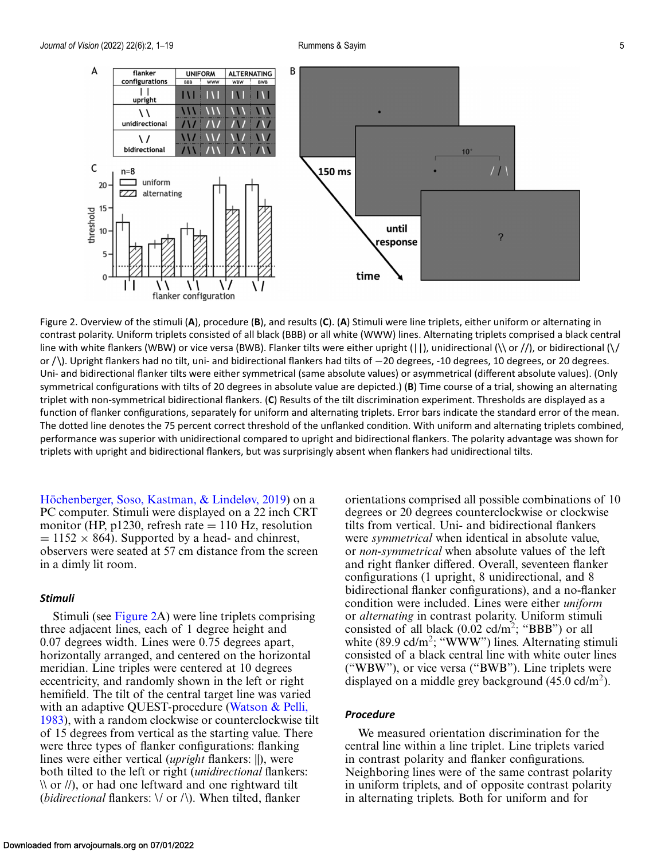<span id="page-4-0"></span>

Figure 2. Overview of the stimuli (**A**), procedure (**B**), and results (**C**). (**A**) Stimuli were line triplets, either uniform or alternating in contrast polarity. Uniform triplets consisted of all black (BBB) or all white (WWW) lines. Alternating triplets comprised a black central line with white flankers (WBW) or vice versa (BWB). Flanker tilts were either upright ( $||$ ), unidirectional ( $\setminus$  or  $/$ ), or bidirectional ( $\setminus$ or / \). Upright flankers had no tilt, uni- and bidirectional flankers had tilts of −20 degrees, -10 degrees, 10 degrees, or 20 degrees. Uni- and bidirectional flanker tilts were either symmetrical (same absolute values) or asymmetrical (different absolute values). (Only symmetrical configurations with tilts of 20 degrees in absolute value are depicted.) (**B**) Time course of a trial, showing an alternating triplet with non-symmetrical bidirectional flankers. (**C**) Results of the tilt discrimination experiment. Thresholds are displayed as a function of flanker configurations, separately for uniform and alternating triplets. Error bars indicate the standard error of the mean. The dotted line denotes the 75 percent correct threshold of the unflanked condition. With uniform and alternating triplets combined, performance was superior with unidirectional compared to upright and bidirectional flankers. The polarity advantage was shown for triplets with upright and bidirectional flankers, but was surprisingly absent when flankers had unidirectional tilts.

[Höchenberger, Soso, Kastman, & Lindeløv, 2019\)](#page-16-0) on a PC computer. Stimuli were displayed on a 22 inch CRT monitor (HP,  $p1230$ , refresh rate  $= 110$  Hz, resolution  $= 1152 \times 864$ ). Supported by a head- and chinrest, observers were seated at 57 cm distance from the screen in a dimly lit room.

#### *Stimuli*

Stimuli (see Figure 2A) were line triplets comprising three adjacent lines, each of 1 degree height and 0.07 degrees width. Lines were 0.75 degrees apart, horizontally arranged, and centered on the horizontal meridian. Line triples were centered at 10 degrees eccentricity, and randomly shown in the left or right hemifield. The tilt of the central target line was varied with an adaptive QUEST-procedure (Watson & Pelli, [1983\), with a random clockwise or counterclockwise ti](#page-17-0)lt of 15 degrees from vertical as the starting value. There were three types of flanker configurations: flanking lines were either vertical (*upright* flankers: ||), were both tilted to the left or right (*unidirectional* flankers:  $\langle \chi \rangle$  or //), or had one leftward and one rightward tilt (*bidirectional* flankers: \/ or /\). When tilted, flanker

orientations comprised all possible combinations of 10 degrees or 20 degrees counterclockwise or clockwise tilts from vertical. Uni- and bidirectional flankers were *symmetrical* when identical in absolute value, or *non-symmetrical* when absolute values of the left and right flanker differed. Overall, seventeen flanker configurations (1 upright, 8 unidirectional, and 8 bidirectional flanker configurations), and a no-flanker condition were included. Lines were either *uniform* or *alternating* in contrast polarity. Uniform stimuli consisted of all black (0.02 cd/m2; "BBB") or all white  $(89.9 \text{ cd/m}^2;$  "WWW") lines. Alternating stimuli consisted of a black central line with white outer lines ("WBW"), or vice versa ("BWB"). Line triplets were displayed on a middle grey background  $(45.0 \text{ cd/m}^2)$ .

#### *Procedure*

We measured orientation discrimination for the central line within a line triplet. Line triplets varied in contrast polarity and flanker configurations. Neighboring lines were of the same contrast polarity in uniform triplets, and of opposite contrast polarity in alternating triplets. Both for uniform and for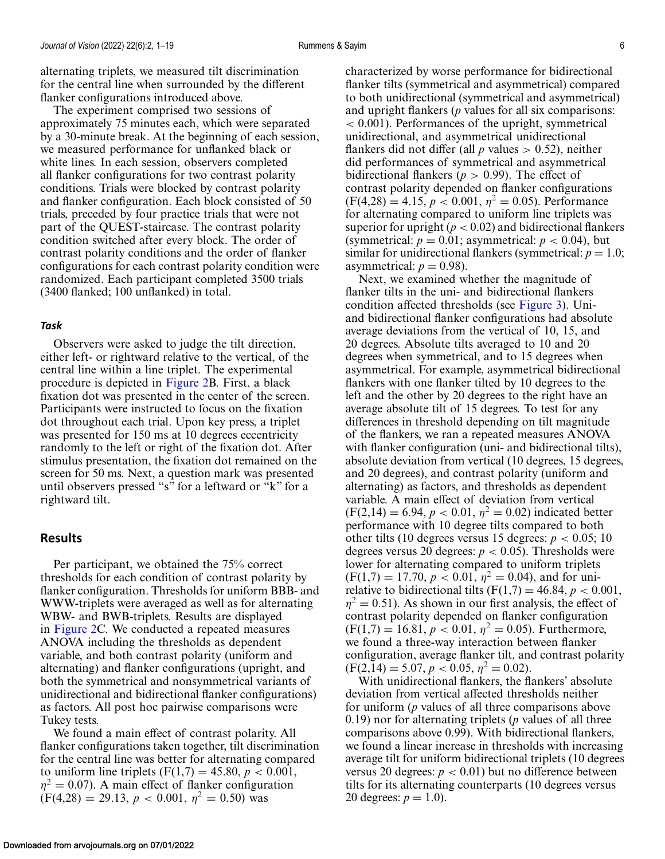alternating triplets, we measured tilt discrimination for the central line when surrounded by the different flanker configurations introduced above.

The experiment comprised two sessions of approximately 75 minutes each, which were separated by a 30-minute break. At the beginning of each session, we measured performance for unflanked black or white lines. In each session, observers completed all flanker configurations for two contrast polarity conditions. Trials were blocked by contrast polarity and flanker configuration. Each block consisted of 50 trials, preceded by four practice trials that were not part of the QUEST-staircase. The contrast polarity condition switched after every block. The order of contrast polarity conditions and the order of flanker configurations for each contrast polarity condition were randomized. Each participant completed 3500 trials (3400 flanked; 100 unflanked) in total.

#### *Task*

Observers were asked to judge the tilt direction, either left- or rightward relative to the vertical, of the central line within a line triplet. The experimental procedure is depicted in [Figure 2B](#page-4-0). First, a black fixation dot was presented in the center of the screen. Participants were instructed to focus on the fixation dot throughout each trial. Upon key press, a triplet was presented for 150 ms at 10 degrees eccentricity randomly to the left or right of the fixation dot. After stimulus presentation, the fixation dot remained on the screen for 50 ms. Next, a question mark was presented until observers pressed "s" for a leftward or "k" for a rightward tilt.

#### **Results**

Per participant, we obtained the 75% correct thresholds for each condition of contrast polarity by flanker configuration. Thresholds for uniform BBB- and WWW-triplets were averaged as well as for alternating WBW- and BWB-triplets. Results are displayed in [Figure 2C](#page-4-0). We conducted a repeated measures ANOVA including the thresholds as dependent variable, and both contrast polarity (uniform and alternating) and flanker configurations (upright, and both the symmetrical and nonsymmetrical variants of unidirectional and bidirectional flanker configurations) as factors. All post hoc pairwise comparisons were Tukey tests.

We found a main effect of contrast polarity. All flanker configurations taken together, tilt discrimination for the central line was better for alternating compared to uniform line triplets  $(F(1,7) = 45.80, p < 0.001,$  $\eta^2 = 0.07$ ). A main effect of flanker configuration  $(F(4,28) = 29.13, p < 0.001, \eta^2 = 0.50)$  was

characterized by worse performance for bidirectional flanker tilts (symmetrical and asymmetrical) compared to both unidirectional (symmetrical and asymmetrical) and upright flankers (*p* values for all six comparisons: < 0.001). Performances of the upright, symmetrical unidirectional, and asymmetrical unidirectional flankers did not differ (all  $p$  values  $> 0.52$ ), neither did performances of symmetrical and asymmetrical bidirectional flankers ( $p > 0.99$ ). The effect of contrast polarity depended on flanker configurations  $(F(4,28) = 4.15, p < 0.001, \eta^2 = 0.05)$ . Performance for alternating compared to uniform line triplets was superior for upright  $(p < 0.02)$  and bidirectional flankers (symmetrical:  $p = 0.01$ ; asymmetrical:  $p < 0.04$ ), but similar for unidirectional flankers (symmetrical:  $p = 1.0$ ; asymmetrical:  $p = 0.98$ ).

Next, we examined whether the magnitude of flanker tilts in the uni- and bidirectional flankers condition affected thresholds (see [Figure 3\)](#page-6-0). Uniand bidirectional flanker configurations had absolute average deviations from the vertical of 10, 15, and 20 degrees. Absolute tilts averaged to 10 and 20 degrees when symmetrical, and to 15 degrees when asymmetrical. For example, asymmetrical bidirectional flankers with one flanker tilted by 10 degrees to the left and the other by 20 degrees to the right have an average absolute tilt of 15 degrees. To test for any differences in threshold depending on tilt magnitude of the flankers, we ran a repeated measures ANOVA with flanker configuration (uni- and bidirectional tilts), absolute deviation from vertical (10 degrees, 15 degrees, and 20 degrees), and contrast polarity (uniform and alternating) as factors, and thresholds as dependent variable. A main effect of deviation from vertical  $(F(2,14) = 6.94, p < 0.01, \eta^2 = 0.02)$  indicated better performance with 10 degree tilts compared to both other tilts (10 degrees versus 15 degrees:  $p < 0.05$ ; 10 degrees versus 20 degrees:  $p < 0.05$ ). Thresholds were lower for alternating compared to uniform triplets  $(F(1,7) = 17.70, p < 0.01, \eta^2 = 0.04)$ , and for unirelative to bidirectional tilts  $(F(1,7) = 46.84, p < 0.001,$  $\eta^2 = 0.51$ ). As shown in our first analysis, the effect of contrast polarity depended on flanker configuration  $(F(1,7) = 16.81, p < 0.01, \eta^2 = 0.05)$ . Furthermore, we found a three-way interaction between flanker configuration, average flanker tilt, and contrast polarity  $(F(2, 14) = 5.07, p < 0.05, \eta^2 = 0.02).$ 

With unidirectional flankers, the flankers' absolute deviation from vertical affected thresholds neither for uniform (*p* values of all three comparisons above 0.19) nor for alternating triplets (*p* values of all three comparisons above 0.99). With bidirectional flankers, we found a linear increase in thresholds with increasing average tilt for uniform bidirectional triplets (10 degrees versus 20 degrees:  $p < 0.01$ ) but no difference between tilts for its alternating counterparts (10 degrees versus 20 degrees:  $p = 1.0$ ).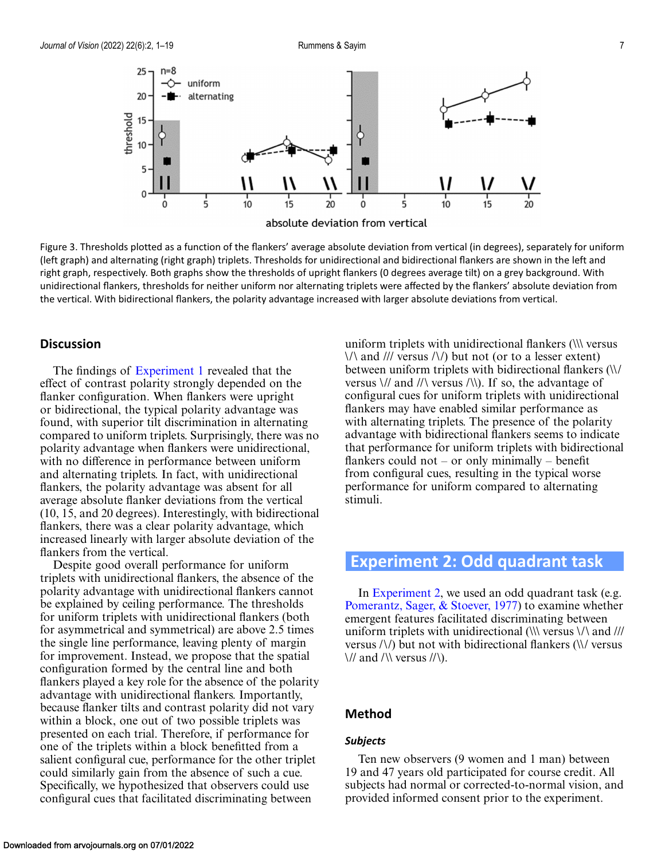<span id="page-6-0"></span>

Figure 3. Thresholds plotted as a function of the flankers' average absolute deviation from vertical (in degrees), separately for uniform (left graph) and alternating (right graph) triplets. Thresholds for unidirectional and bidirectional flankers are shown in the left and right graph, respectively. Both graphs show the thresholds of upright flankers (0 degrees average tilt) on a grey background. With unidirectional flankers, thresholds for neither uniform nor alternating triplets were affected by the flankers' absolute deviation from the vertical. With bidirectional flankers, the polarity advantage increased with larger absolute deviations from vertical.

### **Discussion**

The findings of [Experiment 1](#page-3-0) revealed that the effect of contrast polarity strongly depended on the flanker configuration. When flankers were upright or bidirectional, the typical polarity advantage was found, with superior tilt discrimination in alternating compared to uniform triplets. Surprisingly, there was no polarity advantage when flankers were unidirectional, with no difference in performance between uniform and alternating triplets. In fact, with unidirectional flankers, the polarity advantage was absent for all average absolute flanker deviations from the vertical (10, 15, and 20 degrees). Interestingly, with bidirectional flankers, there was a clear polarity advantage, which increased linearly with larger absolute deviation of the flankers from the vertical.

Despite good overall performance for uniform triplets with unidirectional flankers, the absence of the polarity advantage with unidirectional flankers cannot be explained by ceiling performance. The thresholds for uniform triplets with unidirectional flankers (both for asymmetrical and symmetrical) are above 2.5 times the single line performance, leaving plenty of margin for improvement. Instead, we propose that the spatial configuration formed by the central line and both flankers played a key role for the absence of the polarity advantage with unidirectional flankers. Importantly, because flanker tilts and contrast polarity did not vary within a block, one out of two possible triplets was presented on each trial. Therefore, if performance for one of the triplets within a block benefitted from a salient configural cue, performance for the other triplet could similarly gain from the absence of such a cue. Specifically, we hypothesized that observers could use configural cues that facilitated discriminating between

uniform triplets with unidirectional flankers (\\\ versus  $\langle \rangle$  and /// versus  $\langle \rangle$  but not (or to a lesser extent) between uniform triplets with bidirectional flankers (\\/ versus  $\frac{1}{4}$  and  $\frac{1}{\sqrt{2}}$  versus  $\frac{1}{\sqrt{2}}$ . If so, the advantage of configural cues for uniform triplets with unidirectional flankers may have enabled similar performance as with alternating triplets. The presence of the polarity advantage with bidirectional flankers seems to indicate that performance for uniform triplets with bidirectional flankers could not – or only minimally – benefit from configural cues, resulting in the typical worse performance for uniform compared to alternating stimuli.

# **Experiment 2: Odd quadrant task**

In Experiment 2, we used an odd quadrant task (e.g. [Pomerantz, Sager, & Stoever, 1977\)](#page-17-0) to examine whether emergent features facilitated discriminating between uniform triplets with unidirectional ( $\|\$  versus  $\|\$  and  $\|\|$ versus /\/) but not with bidirectional flankers (\\/ versus  $\frac{1}{2}$  and  $\frac{1}{\sqrt{2}}$  versus  $\frac{1}{\sqrt{2}}$ .

### **Method**

#### *Subjects*

Ten new observers (9 women and 1 man) between 19 and 47 years old participated for course credit. All subjects had normal or corrected-to-normal vision, and provided informed consent prior to the experiment.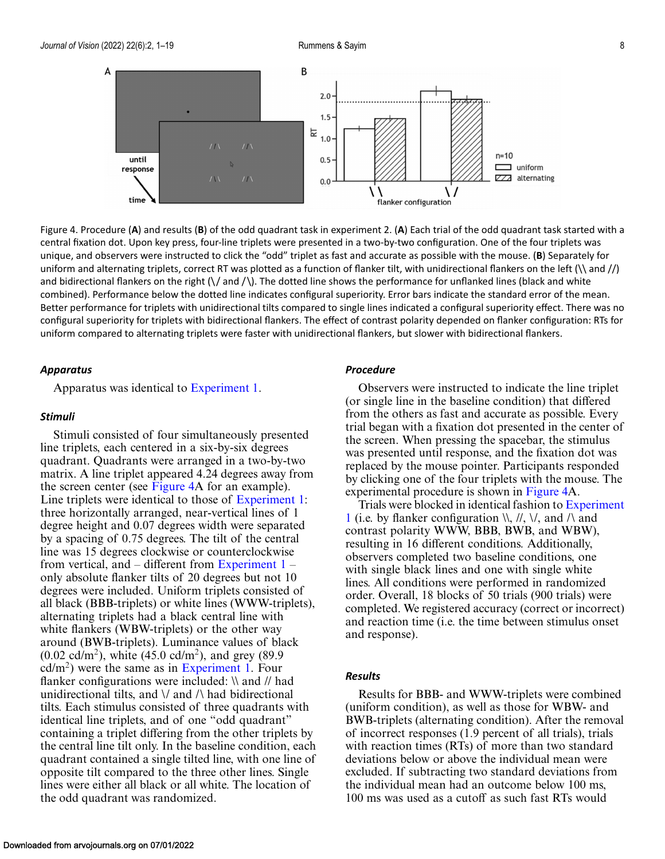

Figure 4. Procedure (**A**) and results (**B**) of the odd quadrant task in experiment 2. (**A**) Each trial of the odd quadrant task started with a central fixation dot. Upon key press, four-line triplets were presented in a two-by-two configuration. One of the four triplets was unique, and observers were instructed to click the "odd" triplet as fast and accurate as possible with the mouse. (**B**) Separately for uniform and alternating triplets, correct RT was plotted as a function of flanker tilt, with unidirectional flankers on the left  $(\n\alpha)$  and  $\beta$ and bidirectional flankers on the right  $(\sqrt{$  and  $/\})$ . The dotted line shows the performance for unflanked lines (black and white combined). Performance below the dotted line indicates configural superiority. Error bars indicate the standard error of the mean. Better performance for triplets with unidirectional tilts compared to single lines indicated a configural superiority effect. There was no configural superiority for triplets with bidirectional flankers. The effect of contrast polarity depended on flanker configuration: RTs for uniform compared to alternating triplets were faster with unidirectional flankers, but slower with bidirectional flankers.

#### *Apparatus*

Apparatus was identical to [Experiment 1.](#page-3-0)

#### *Stimuli*

Stimuli consisted of four simultaneously presented line triplets, each centered in a six-by-six degrees quadrant. Quadrants were arranged in a two-by-two matrix. A line triplet appeared 4.24 degrees away from the screen center (see Figure 4A for an example). Line triplets were identical to those of [Experiment 1:](#page-3-0) three horizontally arranged, near-vertical lines of 1 degree height and 0.07 degrees width were separated by a spacing of 0.75 degrees. The tilt of the central line was 15 degrees clockwise or counterclockwise from vertical, and – different from Experiment  $1$ only absolute flanker tilts of 20 degrees but not 10 degrees were included. Uniform triplets consisted of all black (BBB-triplets) or white lines (WWW-triplets), alternating triplets had a black central line with white flankers (WBW-triplets) or the other way around (BWB-triplets). Luminance values of black  $(0.02 \text{ cd/m}^2)$ , white  $(45.0 \text{ cd/m}^2)$ , and grey  $(89.9$  $cd/m<sup>2</sup>$ ) were the same as in [Experiment 1.](#page-3-0) Four flanker configurations were included: \\ and // had unidirectional tilts, and  $\lor$  and  $\land$  had bidirectional tilts. Each stimulus consisted of three quadrants with identical line triplets, and of one "odd quadrant" containing a triplet differing from the other triplets by the central line tilt only. In the baseline condition, each quadrant contained a single tilted line, with one line of opposite tilt compared to the three other lines. Single lines were either all black or all white. The location of the odd quadrant was randomized.

### *Procedure*

Observers were instructed to indicate the line triplet (or single line in the baseline condition) that differed from the others as fast and accurate as possible. Every trial began with a fixation dot presented in the center of the screen. When pressing the spacebar, the stimulus was presented until response, and the fixation dot was replaced by the mouse pointer. Participants responded by clicking one of the four triplets with the mouse. The experimental procedure is shown in Figure 4A.

Trials were blocked in identical fashion to Experiment 1 (i.e. by flanker configuration  $\mathcal{N}, \mathcal{N}, \mathcal{N}$  and  $\mathcal{N}$  and contrast polarity WWW, BBB, BWB, and WBW), resulting in 16 different conditions. Additionally, observers completed two baseline conditions, one with single black lines and one with single white lines. All conditions were performed in randomized order. Overall, 18 blocks of 50 trials (900 trials) were completed. We registered accuracy (correct or incorrect) and reaction time (i.e. the time between stimulus onset and response).

#### *Results*

Results for BBB- and WWW-triplets were combined (uniform condition), as well as those for WBW- and BWB-triplets (alternating condition). After the removal of incorrect responses (1.9 percent of all trials), trials with reaction times (RTs) of more than two standard deviations below or above the individual mean were excluded. If subtracting two standard deviations from the individual mean had an outcome below 100 ms, 100 ms was used as a cutoff as such fast RTs would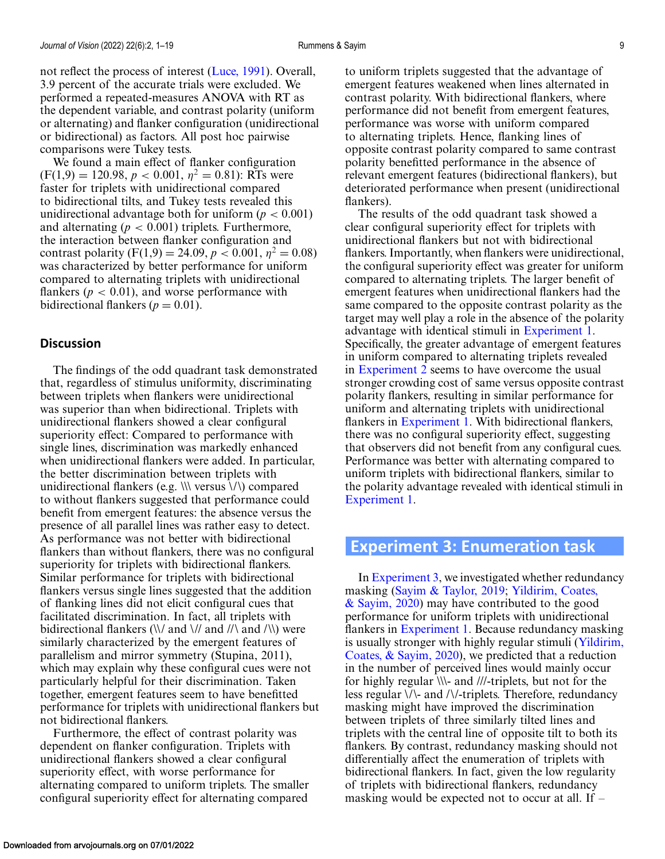<span id="page-8-0"></span>We found a main effect of flanker configuration  $(F(1,9) = 120.98, p < 0.001, \eta^2 = 0.81)$ : RTs were faster for triplets with unidirectional compared to bidirectional tilts, and Tukey tests revealed this unidirectional advantage both for uniform  $(p < 0.001)$ and alternating  $(p < 0.001)$  triplets. Furthermore, the interaction between flanker configuration and contrast polarity  $(F(1,9) = 24.09, p < 0.001, \eta^2 = 0.08)$ was characterized by better performance for uniform compared to alternating triplets with unidirectional flankers ( $p < 0.01$ ), and worse performance with bidirectional flankers ( $p = 0.01$ ).

### **Discussion**

The findings of the odd quadrant task demonstrated that, regardless of stimulus uniformity, discriminating between triplets when flankers were unidirectional was superior than when bidirectional. Triplets with unidirectional flankers showed a clear configural superiority effect: Compared to performance with single lines, discrimination was markedly enhanced when unidirectional flankers were added. In particular, the better discrimination between triplets with unidirectional flankers (e.g.  $\|\cdot\|$  versus  $\langle\cdot\rangle$ ) compared to without flankers suggested that performance could benefit from emergent features: the absence versus the presence of all parallel lines was rather easy to detect. As performance was not better with bidirectional flankers than without flankers, there was no configural superiority for triplets with bidirectional flankers. Similar performance for triplets with bidirectional flankers versus single lines suggested that the addition of flanking lines did not elicit configural cues that facilitated discrimination. In fact, all triplets with bidirectional flankers  $(\nabla / \nabla)$  and  $(\nabla / \nabla)$  were similarly characterized by the emergent features of parallelism and mirror symmetry (Stupina, 2011), which may explain why these configural cues were not particularly helpful for their discrimination. Taken together, emergent features seem to have benefitted performance for triplets with unidirectional flankers but not bidirectional flankers.

Furthermore, the effect of contrast polarity was dependent on flanker configuration. Triplets with unidirectional flankers showed a clear configural superiority effect, with worse performance for alternating compared to uniform triplets. The smaller configural superiority effect for alternating compared to uniform triplets suggested that the advantage of emergent features weakened when lines alternated in contrast polarity. With bidirectional flankers, where performance did not benefit from emergent features, performance was worse with uniform compared to alternating triplets. Hence, flanking lines of opposite contrast polarity compared to same contrast polarity benefitted performance in the absence of relevant emergent features (bidirectional flankers), but deteriorated performance when present (unidirectional flankers).

The results of the odd quadrant task showed a clear configural superiority effect for triplets with unidirectional flankers but not with bidirectional flankers. Importantly, when flankers were unidirectional, the configural superiority effect was greater for uniform compared to alternating triplets. The larger benefit of emergent features when unidirectional flankers had the same compared to the opposite contrast polarity as the target may well play a role in the absence of the polarity advantage with identical stimuli in [Experiment 1.](#page-3-0) Specifically, the greater advantage of emergent features in uniform compared to alternating triplets revealed in [Experiment 2](#page-6-0) seems to have overcome the usual stronger crowding cost of same versus opposite contrast polarity flankers, resulting in similar performance for uniform and alternating triplets with unidirectional flankers in [Experiment 1.](#page-3-0) With bidirectional flankers, there was no configural superiority effect, suggesting that observers did not benefit from any configural cues. Performance was better with alternating compared to uniform triplets with bidirectional flankers, similar to the polarity advantage revealed with identical stimuli in [Experiment 1.](#page-3-0)

## **Experiment 3: Enumeration task**

In Experiment 3, we investigated whether redundancy masking [\(Sayim & Taylor, 2019;](#page-17-0) Yildirim, Coates,  $\&$  Sayim, 2020) may have contributed to the good performance for uniform triplets with unidirectional flankers in [Experiment 1.](#page-3-0) Because redundancy masking [is usually stronger with highly regular stimuli \(Yildirim,](#page-18-0) Coates, & Sayim, 2020), we predicted that a reduction in the number of perceived lines would mainly occur for highly regular \\\- and ///-triplets, but not for the less regular \/\- and /\/-triplets. Therefore, redundancy masking might have improved the discrimination between triplets of three similarly tilted lines and triplets with the central line of opposite tilt to both its flankers. By contrast, redundancy masking should not differentially affect the enumeration of triplets with bidirectional flankers. In fact, given the low regularity of triplets with bidirectional flankers, redundancy masking would be expected not to occur at all. If –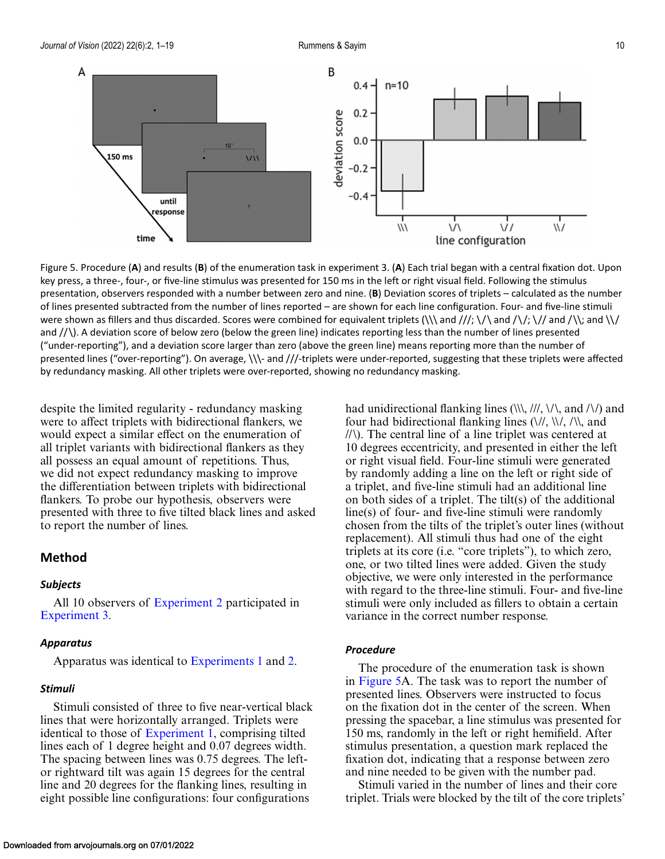<span id="page-9-0"></span>

Figure 5. Procedure (**A**) and results (**B**) of the enumeration task in experiment 3. (**A**) Each trial began with a central fixation dot. Upon key press, a three-, four-, or five-line stimulus was presented for 150 ms in the left or right visual field. Following the stimulus presentation, observers responded with a number between zero and nine. (**B**) Deviation scores of triplets – calculated as the number of lines presented subtracted from the number of lines reported – are shown for each line configuration. Four- and five-line stimuli were shown as fillers and thus discarded. Scores were combined for equivalent triplets (\\\ and ///; \/\ and /\/; \// and /\\; and \\/ and  $/$   $\setminus$   $\setminus$  A deviation score of below zero (below the green line) indicates reporting less than the number of lines presented ("under-reporting"), and a deviation score larger than zero (above the green line) means reporting more than the number of presented lines ("over-reporting"). On average, \\\- and ///-triplets were under-reported, suggesting that these triplets were affected by redundancy masking. All other triplets were over-reported, showing no redundancy masking.

despite the limited regularity - redundancy masking were to affect triplets with bidirectional flankers, we would expect a similar effect on the enumeration of all triplet variants with bidirectional flankers as they all possess an equal amount of repetitions. Thus, we did not expect redundancy masking to improve the differentiation between triplets with bidirectional flankers. To probe our hypothesis, observers were presented with three to five tilted black lines and asked to report the number of lines.

### **Method**

### *Subjects*

All 10 observers of [Experiment 2](#page-6-0) participated in [Experiment 3.](#page-8-0)

#### *Apparatus*

Apparatus was identical to [Experiments 1](#page-3-0) and [2.](#page-6-0)

#### *Stimuli*

Stimuli consisted of three to five near-vertical black lines that were horizontally arranged. Triplets were identical to those of [Experiment 1,](#page-3-0) comprising tilted lines each of 1 degree height and 0.07 degrees width. The spacing between lines was 0.75 degrees. The leftor rightward tilt was again 15 degrees for the central line and 20 degrees for the flanking lines, resulting in eight possible line configurations: four configurations

had unidirectional flanking lines  $(\langle \langle \rangle, \langle \rangle / \rangle, \langle \langle \rangle)$  and  $(\langle \rangle)$  and four had bidirectional flanking lines  $(\frac{\sqrt{2}}{\sqrt{2}})$ ,  $(\frac{\sqrt{2}}{\sqrt{2}})$ , and //\). The central line of a line triplet was centered at 10 degrees eccentricity, and presented in either the left or right visual field. Four-line stimuli were generated by randomly adding a line on the left or right side of a triplet, and five-line stimuli had an additional line on both sides of a triplet. The tilt(s) of the additional line(s) of four- and five-line stimuli were randomly chosen from the tilts of the triplet's outer lines (without replacement). All stimuli thus had one of the eight triplets at its core (i.e. "core triplets"), to which zero, one, or two tilted lines were added. Given the study objective, we were only interested in the performance with regard to the three-line stimuli. Four- and five-line stimuli were only included as fillers to obtain a certain variance in the correct number response.

#### *Procedure*

The procedure of the enumeration task is shown in Figure 5A. The task was to report the number of presented lines. Observers were instructed to focus on the fixation dot in the center of the screen. When pressing the spacebar, a line stimulus was presented for 150 ms, randomly in the left or right hemifield. After stimulus presentation, a question mark replaced the fixation dot, indicating that a response between zero and nine needed to be given with the number pad.

Stimuli varied in the number of lines and their core triplet. Trials were blocked by the tilt of the core triplets'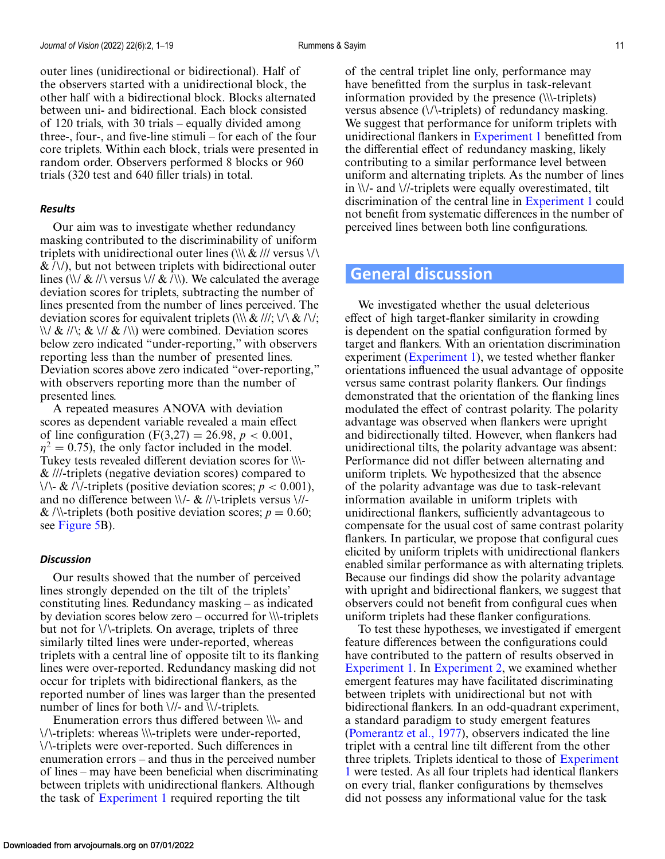outer lines (unidirectional or bidirectional). Half of the observers started with a unidirectional block, the other half with a bidirectional block. Blocks alternated between uni- and bidirectional. Each block consisted of 120 trials, with 30 trials – equally divided among three-, four-, and five-line stimuli – for each of the four core triplets. Within each block, trials were presented in random order. Observers performed 8 blocks or 960 trials (320 test and 640 filler trials) in total.

#### *Results*

Our aim was to investigate whether redundancy masking contributed to the discriminability of uniform triplets with unidirectional outer lines  $(\|\&\|$  versus  $\|\wedge\|$  $\&$  /\/), but not between triplets with bidirectional outer lines (\\/  $\&$  //\ versus \//  $\&$  /\\). We calculated the average deviation scores for triplets, subtracting the number of lines presented from the number of lines perceived. The deviation scores for equivalent triplets (\\\ & ///; \/\ & /\/;  $\langle \langle \rangle / \& \langle \rangle / \& \langle \rangle / \& \langle \rangle$  were combined. Deviation scores below zero indicated "under-reporting," with observers reporting less than the number of presented lines. Deviation scores above zero indicated "over-reporting," with observers reporting more than the number of presented lines.

A repeated measures ANOVA with deviation scores as dependent variable revealed a main effect of line configuration  $(F(3,27) = 26.98, p < 0.001,$  $\eta^2 = 0.75$ , the only factor included in the model. Tukey tests revealed different deviation scores for \\\- & ///-triplets (negative deviation scores) compared to  $\setminus \setminus$  & / $\setminus$ -triplets (positive deviation scores; *p* < 0.001), and no difference between  $\\$  - \& \//-triplets versus  $\//$ -& /\\-triplets (both positive deviation scores;  $p = 0.60$ ; see [Figure 5B](#page-9-0)).

#### *Discussion*

Our results showed that the number of perceived lines strongly depended on the tilt of the triplets' constituting lines. Redundancy masking – as indicated by deviation scores below zero – occurred for \\\-triplets but not for \/\-triplets. On average, triplets of three similarly tilted lines were under-reported, whereas triplets with a central line of opposite tilt to its flanking lines were over-reported. Redundancy masking did not occur for triplets with bidirectional flankers, as the reported number of lines was larger than the presented number of lines for both \//- and \\/-triplets.

Enumeration errors thus differed between \\\- and \/\-triplets: whereas \\\-triplets were under-reported, \/\-triplets were over-reported. Such differences in enumeration errors – and thus in the perceived number of lines – may have been beneficial when discriminating between triplets with unidirectional flankers. Although the task of [Experiment 1](#page-3-0) required reporting the tilt

of the central triplet line only, performance may have benefitted from the surplus in task-relevant information provided by the presence (\\\-triplets) versus absence (\/\-triplets) of redundancy masking. We suggest that performance for uniform triplets with unidirectional flankers in [Experiment 1](#page-3-0) benefitted from the differential effect of redundancy masking, likely contributing to a similar performance level between uniform and alternating triplets. As the number of lines in \\/- and \//-triplets were equally overestimated, tilt discrimination of the central line in [Experiment 1](#page-3-0) could not benefit from systematic differences in the number of perceived lines between both line configurations.

### **General discussion**

We investigated whether the usual deleterious effect of high target-flanker similarity in crowding is dependent on the spatial configuration formed by target and flankers. With an orientation discrimination experiment [\(Experiment 1\)](#page-3-0), we tested whether flanker orientations influenced the usual advantage of opposite versus same contrast polarity flankers. Our findings demonstrated that the orientation of the flanking lines modulated the effect of contrast polarity. The polarity advantage was observed when flankers were upright and bidirectionally tilted. However, when flankers had unidirectional tilts, the polarity advantage was absent: Performance did not differ between alternating and uniform triplets. We hypothesized that the absence of the polarity advantage was due to task-relevant information available in uniform triplets with unidirectional flankers, sufficiently advantageous to compensate for the usual cost of same contrast polarity flankers. In particular, we propose that configural cues elicited by uniform triplets with unidirectional flankers enabled similar performance as with alternating triplets. Because our findings did show the polarity advantage with upright and bidirectional flankers, we suggest that observers could not benefit from configural cues when uniform triplets had these flanker configurations.

To test these hypotheses, we investigated if emergent feature differences between the configurations could have contributed to the pattern of results observed in [Experiment 1.](#page-3-0) In [Experiment 2,](#page-6-0) we examined whether emergent features may have facilitated discriminating between triplets with unidirectional but not with bidirectional flankers. In an odd-quadrant experiment, a standard paradigm to study emergent features [\(Pomerantz et al., 1977\)](#page-17-0), observers indicated the line triplet with a central line tilt different from the other three triplets. Triplets identical to those of Experiment 1 [were tested. As all four triplets had identical flankers](#page-3-0) on every trial, flanker configurations by themselves did not possess any informational value for the task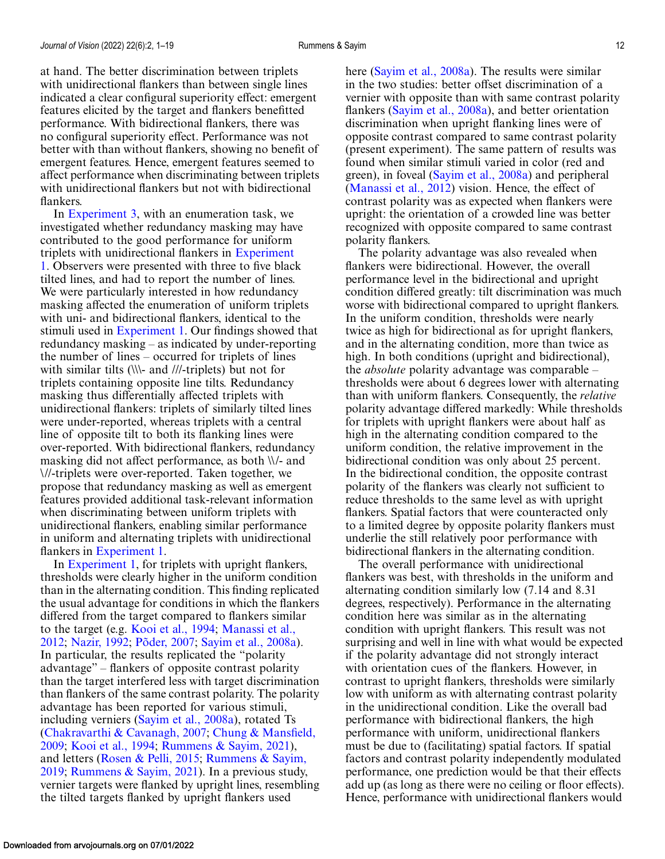at hand. The better discrimination between triplets with unidirectional flankers than between single lines indicated a clear configural superiority effect: emergent features elicited by the target and flankers benefitted performance. With bidirectional flankers, there was no configural superiority effect. Performance was not better with than without flankers, showing no benefit of emergent features. Hence, emergent features seemed to affect performance when discriminating between triplets with unidirectional flankers but not with bidirectional flankers.

In [Experiment 3,](#page-8-0) with an enumeration task, we investigated whether redundancy masking may have contributed to the good performance for uniform triplets with unidirectional flankers in Experiment [1. Observers were presented with three to five black](#page-3-0) tilted lines, and had to report the number of lines. We were particularly interested in how redundancy masking affected the enumeration of uniform triplets with uni- and bidirectional flankers, identical to the stimuli used in [Experiment 1.](#page-3-0) Our findings showed that redundancy masking – as indicated by under-reporting the number of lines – occurred for triplets of lines with similar tilts (\\\- and ///-triplets) but not for triplets containing opposite line tilts. Redundancy masking thus differentially affected triplets with unidirectional flankers: triplets of similarly tilted lines were under-reported, whereas triplets with a central line of opposite tilt to both its flanking lines were over-reported. With bidirectional flankers, redundancy masking did not affect performance, as both \\/- and \//-triplets were over-reported. Taken together, we propose that redundancy masking as well as emergent features provided additional task-relevant information when discriminating between uniform triplets with unidirectional flankers, enabling similar performance in uniform and alternating triplets with unidirectional flankers in [Experiment 1.](#page-3-0)

In [Experiment 1,](#page-3-0) for triplets with upright flankers, thresholds were clearly higher in the uniform condition than in the alternating condition. This finding replicated the usual advantage for conditions in which the flankers differed from the target compared to flankers similar to the target (e.g. [Kooi et al., 1994;](#page-16-0) Manassi et al., 2012; [Nazir, 1992;](#page-16-0) [Põder, 2007;](#page-16-0) [Sayim et al., 2008a\)](#page-16-0). In particular, the results replicated the "polarity advantage" – flankers of opposite contrast polarity than the target interfered less with target discrimination than flankers of the same contrast polarity. The polarity advantage has been reported for various stimuli, including verniers [\(Sayim et al., 2008a\)](#page-17-0), rotated Ts [\(Chakravarthi & Cavanagh, 2007;](#page-15-0) Chung & Mansfield, 2009; [Kooi et al., 1994;](#page-16-0) [Rummens & Sayim, 2021\)](#page-17-0), and letters [\(Rosen & Pelli, 2015;](#page-17-0) Rummens & Sayim, 2019; [Rummens & Sayim, 2021\). In a previous study,](#page-17-0) vernier targets were flanked by upright lines, resembling the tilted targets flanked by upright flankers used

here [\(Sayim et al., 2008a\)](#page-17-0). The results were similar in the two studies: better offset discrimination of a vernier with opposite than with same contrast polarity flankers [\(Sayim et al., 2008a\)](#page-17-0), and better orientation discrimination when upright flanking lines were of opposite contrast compared to same contrast polarity (present experiment). The same pattern of results was found when similar stimuli varied in color (red and green), in foveal [\(Sayim et al., 2008a\)](#page-17-0) and peripheral [\(Manassi et al., 2012\)](#page-16-0) vision. Hence, the effect of contrast polarity was as expected when flankers were upright: the orientation of a crowded line was better recognized with opposite compared to same contrast polarity flankers.

The polarity advantage was also revealed when flankers were bidirectional. However, the overall performance level in the bidirectional and upright condition differed greatly: tilt discrimination was much worse with bidirectional compared to upright flankers. In the uniform condition, thresholds were nearly twice as high for bidirectional as for upright flankers, and in the alternating condition, more than twice as high. In both conditions (upright and bidirectional), the *absolute* polarity advantage was comparable – thresholds were about 6 degrees lower with alternating than with uniform flankers. Consequently, the *relative* polarity advantage differed markedly: While thresholds for triplets with upright flankers were about half as high in the alternating condition compared to the uniform condition, the relative improvement in the bidirectional condition was only about 25 percent. In the bidirectional condition, the opposite contrast polarity of the flankers was clearly not sufficient to reduce thresholds to the same level as with upright flankers. Spatial factors that were counteracted only to a limited degree by opposite polarity flankers must underlie the still relatively poor performance with bidirectional flankers in the alternating condition.

The overall performance with unidirectional flankers was best, with thresholds in the uniform and alternating condition similarly low (7.14 and 8.31 degrees, respectively). Performance in the alternating condition here was similar as in the alternating condition with upright flankers. This result was not surprising and well in line with what would be expected if the polarity advantage did not strongly interact with orientation cues of the flankers. However, in contrast to upright flankers, thresholds were similarly low with uniform as with alternating contrast polarity in the unidirectional condition. Like the overall bad performance with bidirectional flankers, the high performance with uniform, unidirectional flankers must be due to (facilitating) spatial factors. If spatial factors and contrast polarity independently modulated performance, one prediction would be that their effects add up (as long as there were no ceiling or floor effects). Hence, performance with unidirectional flankers would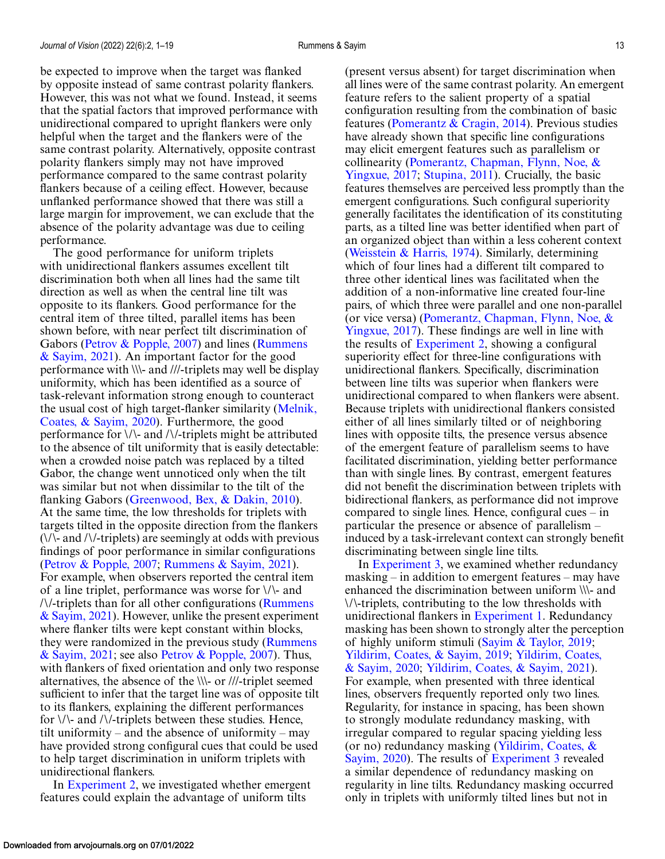be expected to improve when the target was flanked by opposite instead of same contrast polarity flankers. However, this was not what we found. Instead, it seems that the spatial factors that improved performance with unidirectional compared to upright flankers were only helpful when the target and the flankers were of the same contrast polarity. Alternatively, opposite contrast polarity flankers simply may not have improved performance compared to the same contrast polarity flankers because of a ceiling effect. However, because unflanked performance showed that there was still a large margin for improvement, we can exclude that the absence of the polarity advantage was due to ceiling performance.

The good performance for uniform triplets with unidirectional flankers assumes excellent tilt discrimination both when all lines had the same tilt direction as well as when the central line tilt was opposite to its flankers. Good performance for the central item of three tilted, parallel items has been shown before, with near perfect tilt discrimination of [Gabors \(](#page-17-0)[Petrov & Popple, 2007](#page-16-0)[\) and lines \(Rummens](#page-17-0) & Sayim, 2021). An important factor for the good performance with \\\- and ///-triplets may well be display uniformity, which has been identified as a source of task-relevant information strong enough to counteract [the usual cost of high target-flanker similarity \(Melnik,](#page-16-0) Coates, & Sayim, 2020). Furthermore, the good performance for \/\- and /\/-triplets might be attributed to the absence of tilt uniformity that is easily detectable: when a crowded noise patch was replaced by a tilted Gabor, the change went unnoticed only when the tilt was similar but not when dissimilar to the tilt of the flanking Gabors [\(Greenwood, Bex, & Dakin, 2010\)](#page-15-0). At the same time, the low thresholds for triplets with targets tilted in the opposite direction from the flankers  $(\sqrt{\sqrt{2}})$  and  $(\sqrt{\sqrt{2}})$ -triplets) are seemingly at odds with previous findings of poor performance in similar configurations [\(Petrov & Popple, 2007;](#page-16-0) [Rummens & Sayim, 2021\)](#page-17-0). For example, when observers reported the central item of a line triplet, performance was worse for \/\- and  $\frac{N}{t}$ -triplets than for all other configurations (Rummens) [& Sayim, 2021\). However, unlike the present experiment](#page-17-0) where flanker tilts were kept constant within blocks, [they were randomized in the previous study \(Rummens](#page-17-0) & Sayim, 2021; see also [Petrov & Popple, 2007\)](#page-16-0). Thus, with flankers of fixed orientation and only two response alternatives, the absence of the \\\- or ///-triplet seemed sufficient to infer that the target line was of opposite tilt to its flankers, explaining the different performances for  $\setminus \setminus$  and  $\setminus \setminus$ -triplets between these studies. Hence, tilt uniformity – and the absence of uniformity – may have provided strong configural cues that could be used to help target discrimination in uniform triplets with unidirectional flankers.

In [Experiment 2,](#page-6-0) we investigated whether emergent features could explain the advantage of uniform tilts

(present versus absent) for target discrimination when all lines were of the same contrast polarity. An emergent feature refers to the salient property of a spatial configuration resulting from the combination of basic features [\(Pomerantz & Cragin, 2014\)](#page-17-0). Previous studies have already shown that specific line configurations may elicit emergent features such as parallelism or [collinearity \(Pomerantz, Chapman, Flynn, Noe, &](#page-17-0) Yingxue, 2017; [Stupina, 2011\)](#page-17-0). Crucially, the basic features themselves are perceived less promptly than the emergent configurations. Such configural superiority generally facilitates the identification of its constituting parts, as a tilted line was better identified when part of an organized object than within a less coherent context [\(Weisstein & Harris, 1974\)](#page-17-0). Similarly, determining which of four lines had a different tilt compared to three other identical lines was facilitated when the addition of a non-informative line created four-line pairs, of which three were parallel and one non-parallel [\(or vice versa\) \(Pomerantz, Chapman, Flynn, Noe, &](#page-17-0) Yingxue, 2017). These findings are well in line with the results of [Experiment 2,](#page-6-0) showing a configural superiority effect for three-line configurations with unidirectional flankers. Specifically, discrimination between line tilts was superior when flankers were unidirectional compared to when flankers were absent. Because triplets with unidirectional flankers consisted either of all lines similarly tilted or of neighboring lines with opposite tilts, the presence versus absence of the emergent feature of parallelism seems to have facilitated discrimination, yielding better performance than with single lines. By contrast, emergent features did not benefit the discrimination between triplets with bidirectional flankers, as performance did not improve compared to single lines. Hence, configural cues – in particular the presence or absence of parallelism – induced by a task-irrelevant context can strongly benefit discriminating between single line tilts.

In [Experiment 3,](#page-8-0) we examined whether redundancy masking – in addition to emergent features – may have enhanced the discrimination between uniform \\\- and \/\-triplets, contributing to the low thresholds with unidirectional flankers in [Experiment 1.](#page-3-0) Redundancy masking has been shown to strongly alter the perception of highly uniform stimuli [\(Sayim & Taylor, 2019;](#page-17-0) [Yildirim, Coates, & Sayim, 2019;](#page-18-0) Yildirim, Coates, & Sayim, 2020; [Yildirim, Coates, & Sayim, 2021\).](#page-18-0) For example, when presented with three identical lines, observers frequently reported only two lines. Regularity, for instance in spacing, has been shown to strongly modulate redundancy masking, with irregular compared to regular spacing yielding less [\(or no\) redundancy masking \(Yildirim, Coates, &](#page-18-0) Sayim, 2020). The results of [Experiment 3](#page-8-0) revealed a similar dependence of redundancy masking on regularity in line tilts. Redundancy masking occurred only in triplets with uniformly tilted lines but not in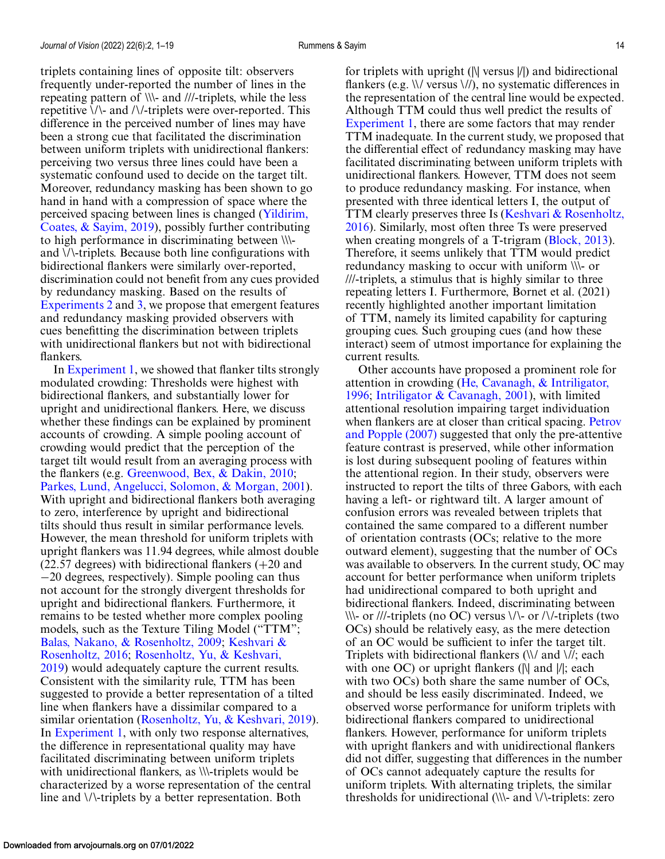triplets containing lines of opposite tilt: observers frequently under-reported the number of lines in the repeating pattern of \\\- and ///-triplets, while the less repetitive  $\setminus \setminus$  and  $\setminus \setminus$ -triplets were over-reported. This difference in the perceived number of lines may have been a strong cue that facilitated the discrimination between uniform triplets with unidirectional flankers: perceiving two versus three lines could have been a systematic confound used to decide on the target tilt. Moreover, redundancy masking has been shown to go hand in hand with a compression of space where the perceived spacing between lines is changed (Yildirim, [Coates, & Sayim, 2019\), possibly further contributing](#page-18-0) to high performance in discriminating between \\\ and \/\-triplets. Because both line configurations with bidirectional flankers were similarly over-reported, discrimination could not benefit from any cues provided by redundancy masking. Based on the results of [Experiments 2](#page-6-0) and [3,](#page-8-0) we propose that emergent features and redundancy masking provided observers with cues benefitting the discrimination between triplets with unidirectional flankers but not with bidirectional flankers.

In [Experiment 1,](#page-3-0) we showed that flanker tilts strongly modulated crowding: Thresholds were highest with bidirectional flankers, and substantially lower for upright and unidirectional flankers. Here, we discuss whether these findings can be explained by prominent accounts of crowding. A simple pooling account of crowding would predict that the perception of the target tilt would result from an averaging process with the flankers (e.g. [Greenwood, Bex, & Dakin, 2010;](#page-15-0) [Parkes, Lund, Angelucci, Solomon, & Morgan, 2001\)](#page-16-0). With upright and bidirectional flankers both averaging to zero, interference by upright and bidirectional tilts should thus result in similar performance levels. However, the mean threshold for uniform triplets with upright flankers was 11.94 degrees, while almost double (22.57 degrees) with bidirectional flankers (+20 and −20 degrees, respectively). Simple pooling can thus not account for the strongly divergent thresholds for upright and bidirectional flankers. Furthermore, it remains to be tested whether more complex pooling models, such as the Texture Tiling Model ("TTM"; [Balas, Nakano, & Rosenholtz, 2009](#page-15-0)[;](#page-16-0) Keshvari & Rosenholtz, 2016; Rosenholtz, Yu, & Keshvari, [2019\) would adequately capture the current resu](#page-17-0)lts. Consistent with the similarity rule, TTM has been suggested to provide a better representation of a tilted line when flankers have a dissimilar compared to a similar orientation [\(Rosenholtz, Yu, & Keshvari, 2019\)](#page-17-0). In [Experiment 1,](#page-3-0) with only two response alternatives, the difference in representational quality may have facilitated discriminating between uniform triplets with unidirectional flankers, as \\\-triplets would be characterized by a worse representation of the central line and \/\-triplets by a better representation. Both

for triplets with upright (|\| versus |/|) and bidirectional flankers (e.g. \\/ versus \//), no systematic differences in the representation of the central line would be expected. Although TTM could thus well predict the results of [Experiment 1,](#page-3-0) there are some factors that may render TTM inadequate. In the current study, we proposed that the differential effect of redundancy masking may have facilitated discriminating between uniform triplets with unidirectional flankers. However, TTM does not seem to produce redundancy masking. For instance, when presented with three identical letters I, the output of [TTM clearly preserves three Is \(Keshvari & Rosenholtz,](#page-16-0) 2016). Similarly, most often three Ts were preserved when creating mongrels of a T-trigram [\(Block, 2013\)](#page-15-0). Therefore, it seems unlikely that TTM would predict redundancy masking to occur with uniform \\\- or ///-triplets, a stimulus that is highly similar to three repeating letters I. Furthermore, Bornet et al. (2021) recently highlighted another important limitation of TTM, namely its limited capability for capturing grouping cues. Such grouping cues (and how these interact) seem of utmost importance for explaining the current results.

Other accounts have proposed a prominent role for [attention in crowding \(He, Cavanagh, & Intriligator,](#page-16-0) 1996; [Intriligator & Cavanagh, 2001\)](#page-16-0), with limited attentional resolution impairing target individuation [when flankers are at closer than critical spacing.](#page-16-0) Petrov and Popple (2007) suggested that only the pre-attentive feature contrast is preserved, while other information is lost during subsequent pooling of features within the attentional region. In their study, observers were instructed to report the tilts of three Gabors, with each having a left- or rightward tilt. A larger amount of confusion errors was revealed between triplets that contained the same compared to a different number of orientation contrasts (OCs; relative to the more outward element), suggesting that the number of OCs was available to observers. In the current study, OC may account for better performance when uniform triplets had unidirectional compared to both upright and bidirectional flankers. Indeed, discriminating between  $\|\cdot\|$ -or ///-triplets (no OC) versus  $\|\cdot\|$ -or / $\|\cdot\|$ -triplets (two OCs) should be relatively easy, as the mere detection of an OC would be sufficient to infer the target tilt. Triplets with bidirectional flankers  $(\mathcal{N})$  and  $\mathcal{N}$ ; each with one OC) or upright flankers ( $\|\$  and  $\|$ ; each with two OCs) both share the same number of OCs, and should be less easily discriminated. Indeed, we observed worse performance for uniform triplets with bidirectional flankers compared to unidirectional flankers. However, performance for uniform triplets with upright flankers and with unidirectional flankers did not differ, suggesting that differences in the number of OCs cannot adequately capture the results for uniform triplets. With alternating triplets, the similar thresholds for unidirectional  $(\mathcal{X})$  and  $\mathcal{Y}$ -triplets: zero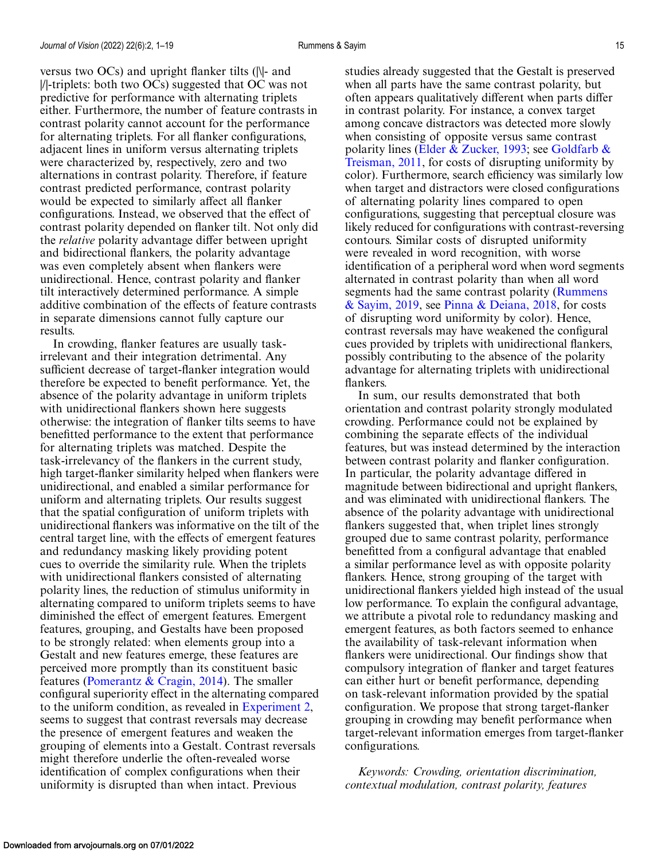versus two OCs) and upright flanker tilts (|\|- and |/|-triplets: both two OCs) suggested that OC was not predictive for performance with alternating triplets either. Furthermore, the number of feature contrasts in contrast polarity cannot account for the performance for alternating triplets. For all flanker configurations, adjacent lines in uniform versus alternating triplets were characterized by, respectively, zero and two alternations in contrast polarity. Therefore, if feature contrast predicted performance, contrast polarity would be expected to similarly affect all flanker configurations. Instead, we observed that the effect of contrast polarity depended on flanker tilt. Not only did the *relative* polarity advantage differ between upright and bidirectional flankers, the polarity advantage was even completely absent when flankers were unidirectional. Hence, contrast polarity and flanker tilt interactively determined performance. A simple additive combination of the effects of feature contrasts in separate dimensions cannot fully capture our results.

In crowding, flanker features are usually taskirrelevant and their integration detrimental. Any sufficient decrease of target-flanker integration would therefore be expected to benefit performance. Yet, the absence of the polarity advantage in uniform triplets with unidirectional flankers shown here suggests otherwise: the integration of flanker tilts seems to have benefitted performance to the extent that performance for alternating triplets was matched. Despite the task-irrelevancy of the flankers in the current study, high target-flanker similarity helped when flankers were unidirectional, and enabled a similar performance for uniform and alternating triplets. Our results suggest that the spatial configuration of uniform triplets with unidirectional flankers was informative on the tilt of the central target line, with the effects of emergent features and redundancy masking likely providing potent cues to override the similarity rule. When the triplets with unidirectional flankers consisted of alternating polarity lines, the reduction of stimulus uniformity in alternating compared to uniform triplets seems to have diminished the effect of emergent features. Emergent features, grouping, and Gestalts have been proposed to be strongly related: when elements group into a Gestalt and new features emerge, these features are perceived more promptly than its constituent basic features [\(Pomerantz & Cragin, 2014\)](#page-17-0). The smaller configural superiority effect in the alternating compared to the uniform condition, as revealed in [Experiment 2,](#page-6-0) seems to suggest that contrast reversals may decrease the presence of emergent features and weaken the grouping of elements into a Gestalt. Contrast reversals might therefore underlie the often-revealed worse identification of complex configurations when their uniformity is disrupted than when intact. Previous

studies already suggested that the Gestalt is preserved when all parts have the same contrast polarity, but often appears qualitatively different when parts differ in contrast polarity. For instance, a convex target among concave distractors was detected more slowly when consisting of opposite versus same contrast polarity lines [\(Elder & Zucker, 1993;](#page-15-0) see Goldfarb & [Treisman, 2011, for costs of disrupting uniformity by](#page-15-0) color). Furthermore, search efficiency was similarly low when target and distractors were closed configurations of alternating polarity lines compared to open configurations, suggesting that perceptual closure was likely reduced for configurations with contrast-reversing contours. Similar costs of disrupted uniformity were revealed in word recognition, with worse identification of a peripheral word when word segments alternated in contrast polarity than when all word [segments had the same contrast polarity \(Rummens](#page-17-0) & Sayim, 2019, see [Pinna & Deiana, 2018,](#page-16-0) for costs of disrupting word uniformity by color). Hence, contrast reversals may have weakened the configural cues provided by triplets with unidirectional flankers, possibly contributing to the absence of the polarity advantage for alternating triplets with unidirectional flankers.

In sum, our results demonstrated that both orientation and contrast polarity strongly modulated crowding. Performance could not be explained by combining the separate effects of the individual features, but was instead determined by the interaction between contrast polarity and flanker configuration. In particular, the polarity advantage differed in magnitude between bidirectional and upright flankers, and was eliminated with unidirectional flankers. The absence of the polarity advantage with unidirectional flankers suggested that, when triplet lines strongly grouped due to same contrast polarity, performance benefitted from a configural advantage that enabled a similar performance level as with opposite polarity flankers. Hence, strong grouping of the target with unidirectional flankers yielded high instead of the usual low performance. To explain the configural advantage, we attribute a pivotal role to redundancy masking and emergent features, as both factors seemed to enhance the availability of task-relevant information when flankers were unidirectional. Our findings show that compulsory integration of flanker and target features can either hurt or benefit performance, depending on task-relevant information provided by the spatial configuration. We propose that strong target-flanker grouping in crowding may benefit performance when target-relevant information emerges from target-flanker configurations.

*Keywords: Crowding, orientation discrimination, contextual modulation, contrast polarity, features*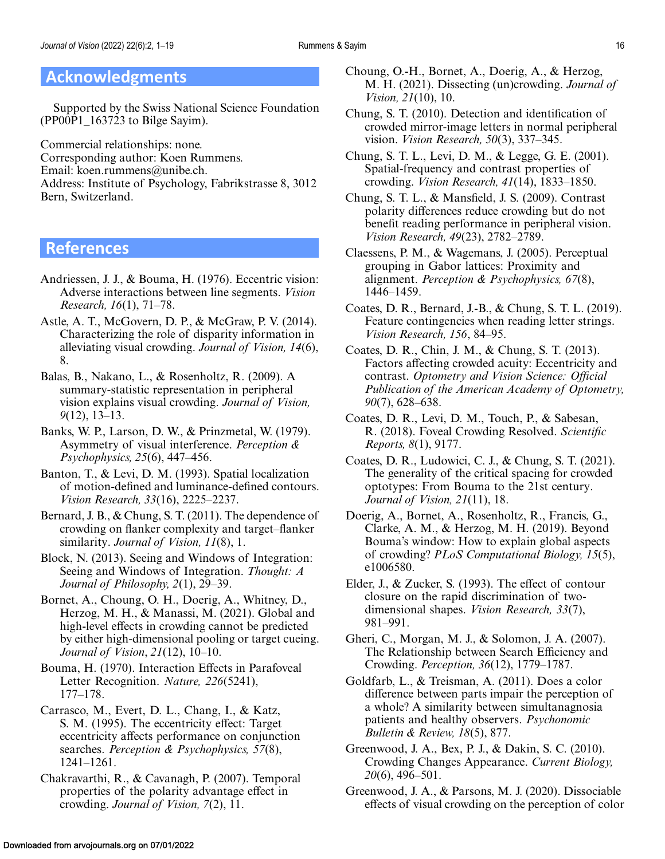# <span id="page-15-0"></span>**Acknowledgments**

Supported by the Swiss National Science Foundation (PP00P1\_163723 to Bilge Sayim).

Commercial relationships: none. Corresponding author: Koen Rummens. Email: koen.rummens@unibe.ch. Address: Institute of Psychology, Fabrikstrasse 8, 3012 Bern, Switzerland.

# **References**

- Andriessen, J. J., & Bouma, H. (1976). Eccentric vision: Adverse interactions between line segments. *Vision Research, 16*(1), 71–78.
- Astle, A. T., McGovern, D. P., & McGraw, P. V. (2014). Characterizing the role of disparity information in alleviating visual crowding. *Journal of Vision, 14*(6), 8.
- Balas, B., Nakano, L., & Rosenholtz, R. (2009). A summary-statistic representation in peripheral vision explains visual crowding. *Journal of Vision, 9*(12), 13–13.
- Banks, W. P., Larson, D. W., & Prinzmetal, W. (1979). Asymmetry of visual interference. *Perception & Psychophysics, 25*(6), 447–456.
- Banton, T., & Levi, D. M. (1993). Spatial localization of motion-defined and luminance-defined contours. *Vision Research, 33*(16), 2225–2237.
- Bernard, J. B., & Chung, S. T. (2011). The dependence of crowding on flanker complexity and target–flanker similarity. *Journal of Vision, 11*(8), 1.
- Block, N. (2013). Seeing and Windows of Integration: Seeing and Windows of Integration. *Thought: A Journal of Philosophy, 2*(1), 29–39.
- Bornet, A., Choung, O. H., Doerig, A., Whitney, D., Herzog, M. H., & Manassi, M. (2021). Global and high-level effects in crowding cannot be predicted by either high-dimensional pooling or target cueing. *Journal of Vision*, *21*(12), 10–10.
- Bouma, H. (1970). Interaction Effects in Parafoveal Letter Recognition. *Nature, 226*(5241), 177–178.
- Carrasco, M., Evert, D. L., Chang, I., & Katz, S. M. (1995). The eccentricity effect: Target eccentricity affects performance on conjunction searches. *Perception & Psychophysics, 57*(8), 1241–1261.
- Chakravarthi, R., & Cavanagh, P. (2007). Temporal properties of the polarity advantage effect in crowding. *Journal of Vision, 7*(2), 11.
- Choung, O.-H., Bornet, A., Doerig, A., & Herzog, M. H. (2021). Dissecting (un)crowding. *Journal of Vision, 21*(10), 10.
- Chung, S. T. (2010). Detection and identification of crowded mirror-image letters in normal peripheral vision. *Vision Research, 50*(3), 337–345.
- Chung, S. T. L., Levi, D. M., & Legge, G. E. (2001). Spatial-frequency and contrast properties of crowding. *Vision Research, 41*(14), 1833–1850.
- Chung, S. T. L., & Mansfield, J. S. (2009). Contrast polarity differences reduce crowding but do not benefit reading performance in peripheral vision. *Vision Research, 49*(23), 2782–2789.
- Claessens, P. M., & Wagemans, J. (2005). Perceptual grouping in Gabor lattices: Proximity and alignment. *Perception & Psychophysics, 67*(8), 1446–1459.
- Coates, D. R., Bernard, J.-B., & Chung, S. T. L. (2019). Feature contingencies when reading letter strings. *Vision Research, 156*, 84–95.
- Coates, D. R., Chin, J. M., & Chung, S. T. (2013). Factors affecting crowded acuity: Eccentricity and contrast. *Optometry and Vision Science: Official Publication of the American Academy of Optometry, 90*(7), 628–638.
- Coates, D. R., Levi, D. M., Touch, P., & Sabesan, R. (2018). Foveal Crowding Resolved. *Scientific Reports, 8*(1), 9177.
- Coates, D. R., Ludowici, C. J., & Chung, S. T. (2021). The generality of the critical spacing for crowded optotypes: From Bouma to the 21st century. *Journal of Vision, 21*(11), 18.
- Doerig, A., Bornet, A., Rosenholtz, R., Francis, G., Clarke, A. M., & Herzog, M. H. (2019). Beyond Bouma's window: How to explain global aspects of crowding? *PLoS Computational Biology, 15*(5), e1006580.
- Elder, J., & Zucker, S. (1993). The effect of contour closure on the rapid discrimination of twodimensional shapes. *Vision Research, 33*(7), 981–991.
- Gheri, C., Morgan, M. J., & Solomon, J. A. (2007). The Relationship between Search Efficiency and Crowding. *Perception, 36*(12), 1779–1787.
- Goldfarb, L., & Treisman, A. (2011). Does a color difference between parts impair the perception of a whole? A similarity between simultanagnosia patients and healthy observers. *Psychonomic Bulletin & Review, 18*(5), 877.
- Greenwood, J. A., Bex, P. J., & Dakin, S. C. (2010). Crowding Changes Appearance. *Current Biology, 20*(6), 496–501.
- Greenwood, J. A., & Parsons, M. J. (2020). Dissociable effects of visual crowding on the perception of color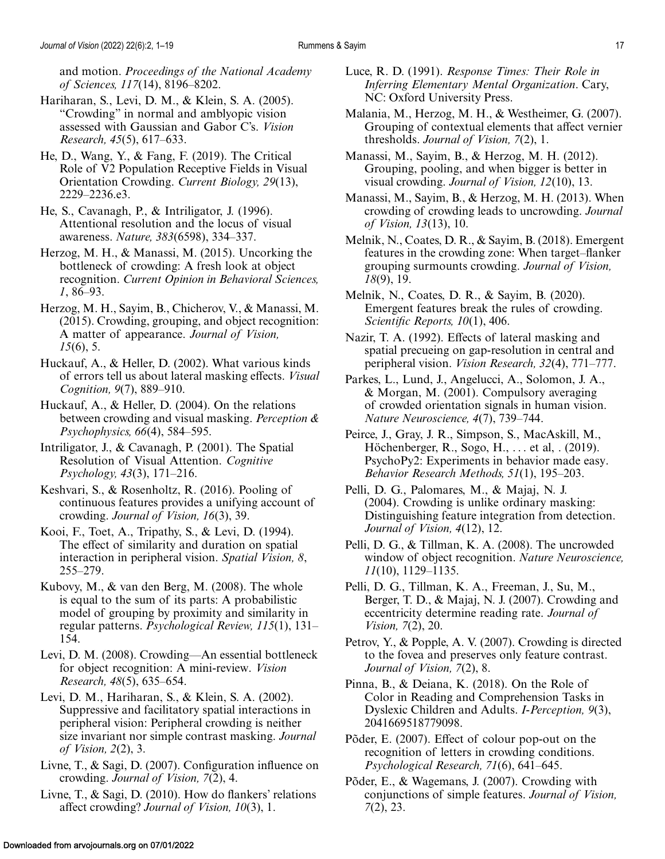<span id="page-16-0"></span>and motion. *Proceedings of the National Academy of Sciences, 117*(14), 8196–8202.

- Hariharan, S., Levi, D. M., & Klein, S. A. (2005). "Crowding" in normal and amblyopic vision assessed with Gaussian and Gabor C's. *Vision Research, 45*(5), 617–633.
- He, D., Wang, Y., & Fang, F. (2019). The Critical Role of V2 Population Receptive Fields in Visual Orientation Crowding. *Current Biology, 29*(13), 2229–2236.e3.
- He, S., Cavanagh, P., & Intriligator, J. (1996). Attentional resolution and the locus of visual awareness. *Nature, 383*(6598), 334–337.
- Herzog, M. H., & Manassi, M. (2015). Uncorking the bottleneck of crowding: A fresh look at object recognition. *Current Opinion in Behavioral Sciences, 1*, 86–93.
- Herzog, M. H., Sayim, B., Chicherov, V., & Manassi, M. (2015). Crowding, grouping, and object recognition: A matter of appearance. *Journal of Vision, 15*(6), 5.
- Huckauf, A., & Heller, D. (2002). What various kinds of errors tell us about lateral masking effects. *Visual Cognition, 9*(7), 889–910.
- Huckauf, A., & Heller, D. (2004). On the relations between crowding and visual masking. *Perception & Psychophysics, 66*(4), 584–595.
- Intriligator, J., & Cavanagh, P. (2001). The Spatial Resolution of Visual Attention. *Cognitive Psychology, 43*(3), 171–216.
- Keshvari, S., & Rosenholtz, R. (2016). Pooling of continuous features provides a unifying account of crowding. *Journal of Vision, 16*(3), 39.
- Kooi, F., Toet, A., Tripathy, S., & Levi, D. (1994). The effect of similarity and duration on spatial interaction in peripheral vision. *Spatial Vision, 8*, 255–279.
- Kubovy, M., & van den Berg, M. (2008). The whole is equal to the sum of its parts: A probabilistic model of grouping by proximity and similarity in regular patterns. *Psychological Review, 115*(1), 131– 154.
- Levi, D. M. (2008). Crowding—An essential bottleneck for object recognition: A mini-review. *Vision Research, 48*(5), 635–654.
- Levi, D. M., Hariharan, S., & Klein, S. A. (2002). Suppressive and facilitatory spatial interactions in peripheral vision: Peripheral crowding is neither size invariant nor simple contrast masking. *Journal of Vision, 2*(2), 3.
- Livne, T., & Sagi, D. (2007). Configuration influence on crowding. *Journal of Vision, 7*(2), 4.
- Livne, T., & Sagi, D. (2010). How do flankers' relations affect crowding? *Journal of Vision, 10*(3), 1.
- Luce, R. D. (1991). *Response Times: Their Role in Inferring Elementary Mental Organization*. Cary, NC: Oxford University Press.
- Malania, M., Herzog, M. H., & Westheimer, G. (2007). Grouping of contextual elements that affect vernier thresholds. *Journal of Vision, 7*(2), 1.
- Manassi, M., Sayim, B., & Herzog, M. H. (2012). Grouping, pooling, and when bigger is better in visual crowding. *Journal of Vision, 12*(10), 13.
- Manassi, M., Sayim, B., & Herzog, M. H. (2013). When crowding of crowding leads to uncrowding. *Journal of Vision, 13*(13), 10.
- Melnik, N., Coates, D. R., & Sayim, B. (2018). Emergent features in the crowding zone: When target–flanker grouping surmounts crowding. *Journal of Vision, 18*(9), 19.
- Melnik, N., Coates, D. R., & Sayim, B. (2020). Emergent features break the rules of crowding. *Scientific Reports, 10*(1), 406.
- Nazir, T. A. (1992). Effects of lateral masking and spatial precueing on gap-resolution in central and peripheral vision. *Vision Research, 32*(4), 771–777.
- Parkes, L., Lund, J., Angelucci, A., Solomon, J. A., & Morgan, M. (2001). Compulsory averaging of crowded orientation signals in human vision. *Nature Neuroscience, 4*(7), 739–744.
- Peirce, J., Gray, J. R., Simpson, S., MacAskill, M., Höchenberger, R., Sogo, H., ... et al, . (2019). PsychoPy2: Experiments in behavior made easy. *Behavior Research Methods, 51*(1), 195–203.
- Pelli, D. G., Palomares, M., & Majaj, N. J. (2004). Crowding is unlike ordinary masking: Distinguishing feature integration from detection. *Journal of Vision, 4*(12), 12.
- Pelli, D. G., & Tillman, K. A. (2008). The uncrowded window of object recognition. *Nature Neuroscience, 11*(10), 1129–1135.
- Pelli, D. G., Tillman, K. A., Freeman, J., Su, M., Berger, T. D., & Majaj, N. J. (2007). Crowding and eccentricity determine reading rate. *Journal of Vision, 7*(2), 20.
- Petrov, Y., & Popple, A. V. (2007). Crowding is directed to the fovea and preserves only feature contrast. *Journal of Vision, 7*(2), 8.
- Pinna, B., & Deiana, K. (2018). On the Role of Color in Reading and Comprehension Tasks in Dyslexic Children and Adults. *I-Perception, 9*(3), 2041669518779098.
- Põder, E. (2007). Effect of colour pop-out on the recognition of letters in crowding conditions. *Psychological Research, 71*(6), 641–645.
- Põder, E., & Wagemans, J. (2007). Crowding with conjunctions of simple features. *Journal of Vision, 7*(2), 23.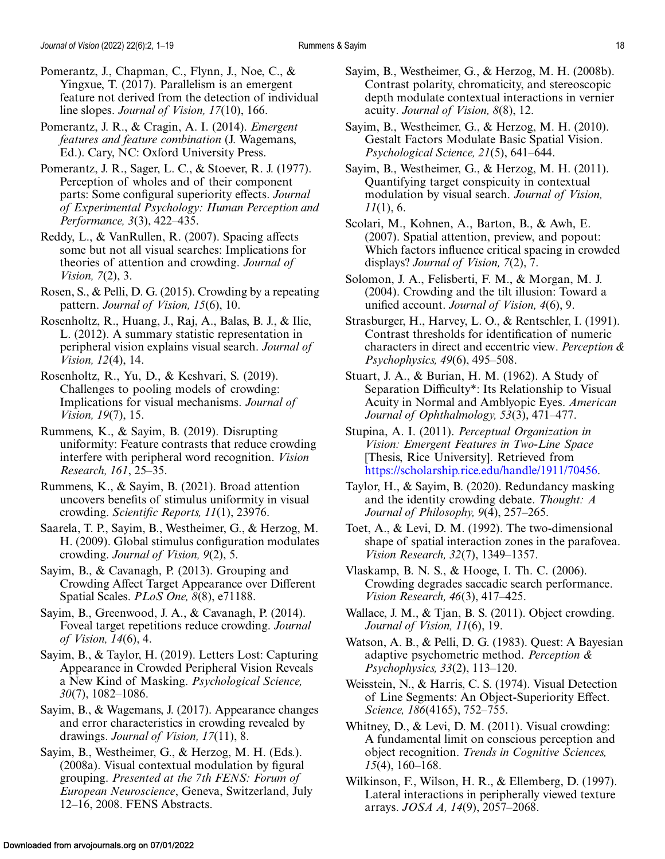- <span id="page-17-0"></span>Pomerantz, J., Chapman, C., Flynn, J., Noe, C., & Yingxue, T. (2017). Parallelism is an emergent feature not derived from the detection of individual line slopes. *Journal of Vision, 17*(10), 166.
- Pomerantz, J. R., & Cragin, A. I. (2014). *Emergent features and feature combination* (J. Wagemans, Ed.). Cary, NC: Oxford University Press.
- Pomerantz, J. R., Sager, L. C., & Stoever, R. J. (1977). Perception of wholes and of their component parts: Some configural superiority effects. *Journal of Experimental Psychology: Human Perception and Performance, 3*(3), 422–435.
- Reddy, L., & VanRullen, R. (2007). Spacing affects some but not all visual searches: Implications for theories of attention and crowding. *Journal of Vision, 7*(2), 3.
- Rosen, S., & Pelli, D. G. (2015). Crowding by a repeating pattern. *Journal of Vision, 15*(6), 10.
- Rosenholtz, R., Huang, J., Raj, A., Balas, B. J., & Ilie, L. (2012). A summary statistic representation in peripheral vision explains visual search. *Journal of Vision, 12*(4), 14.
- Rosenholtz, R., Yu, D., & Keshvari, S. (2019). Challenges to pooling models of crowding: Implications for visual mechanisms. *Journal of Vision, 19*(7), 15.
- Rummens, K., & Sayim, B. (2019). Disrupting uniformity: Feature contrasts that reduce crowding interfere with peripheral word recognition. *Vision Research, 161*, 25–35.
- Rummens, K., & Sayim, B. (2021). Broad attention uncovers benefits of stimulus uniformity in visual crowding. *Scientific Reports, 11*(1), 23976.
- Saarela, T. P., Sayim, B., Westheimer, G., & Herzog, M. H. (2009). Global stimulus configuration modulates crowding. *Journal of Vision, 9*(2), 5.
- Sayim, B., & Cavanagh, P. (2013). Grouping and Crowding Affect Target Appearance over Different Spatial Scales. *PLoS One, 8*(8), e71188.
- Sayim, B., Greenwood, J. A., & Cavanagh, P. (2014). Foveal target repetitions reduce crowding. *Journal of Vision, 14*(6), 4.
- Sayim, B., & Taylor, H. (2019). Letters Lost: Capturing Appearance in Crowded Peripheral Vision Reveals a New Kind of Masking. *Psychological Science, 30*(7), 1082–1086.
- Sayim, B., & Wagemans, J. (2017). Appearance changes and error characteristics in crowding revealed by drawings. *Journal of Vision, 17*(11), 8.
- Sayim, B., Westheimer, G., & Herzog, M. H. (Eds.). (2008a). Visual contextual modulation by figural grouping. *Presented at the 7th FENS: Forum of European Neuroscience*, Geneva, Switzerland, July 12–16, 2008. FENS Abstracts.
- Sayim, B., Westheimer, G., & Herzog, M. H. (2008b). Contrast polarity, chromaticity, and stereoscopic depth modulate contextual interactions in vernier acuity. *Journal of Vision, 8*(8), 12.
- Sayim, B., Westheimer, G., & Herzog, M. H. (2010). Gestalt Factors Modulate Basic Spatial Vision. *Psychological Science, 21*(5), 641–644.
- Sayim, B., Westheimer, G., & Herzog, M. H. (2011). Quantifying target conspicuity in contextual modulation by visual search. *Journal of Vision, 11*(1), 6.
- Scolari, M., Kohnen, A., Barton, B., & Awh, E. (2007). Spatial attention, preview, and popout: Which factors influence critical spacing in crowded displays? *Journal of Vision, 7*(2), 7.
- Solomon, J. A., Felisberti, F. M., & Morgan, M. J. (2004). Crowding and the tilt illusion: Toward a unified account. *Journal of Vision, 4*(6), 9.
- Strasburger, H., Harvey, L. O., & Rentschler, I. (1991). Contrast thresholds for identification of numeric characters in direct and eccentric view. *Perception & Psychophysics, 49*(6), 495–508.
- Stuart, J. A., & Burian, H. M. (1962). A Study of Separation Difficulty\*: Its Relationship to Visual Acuity in Normal and Amblyopic Eyes. *American Journal of Ophthalmology, 53*(3), 471–477.
- Stupina, A. I. (2011). *Perceptual Organization in Vision: Emergent Features in Two-Line Space* [Thesis, Rice University]. Retrieved from [https://scholarship.rice.edu/handle/1911/70456.](https://scholarship.rice.edu/handle/1911/70456)
- Taylor, H., & Sayim, B. (2020). Redundancy masking and the identity crowding debate. *Thought: A Journal of Philosophy, 9*(4), 257–265.
- Toet, A., & Levi, D. M. (1992). The two-dimensional shape of spatial interaction zones in the parafovea. *Vision Research, 32*(7), 1349–1357.
- Vlaskamp, B. N. S., & Hooge, I. Th. C. (2006). Crowding degrades saccadic search performance. *Vision Research, 46*(3), 417–425.
- Wallace, J. M., & Tjan, B. S. (2011). Object crowding. *Journal of Vision, 11*(6), 19.
- Watson, A. B., & Pelli, D. G. (1983). Quest: A Bayesian adaptive psychometric method. *Perception & Psychophysics, 33*(2), 113–120.
- Weisstein, N., & Harris, C. S. (1974). Visual Detection of Line Segments: An Object-Superiority Effect. *Science, 186*(4165), 752–755.
- Whitney, D., & Levi, D. M. (2011). Visual crowding: A fundamental limit on conscious perception and object recognition. *Trends in Cognitive Sciences, 15*(4), 160–168.
- Wilkinson, F., Wilson, H. R., & Ellemberg, D. (1997). Lateral interactions in peripherally viewed texture arrays. *JOSA A, 14*(9), 2057–2068.